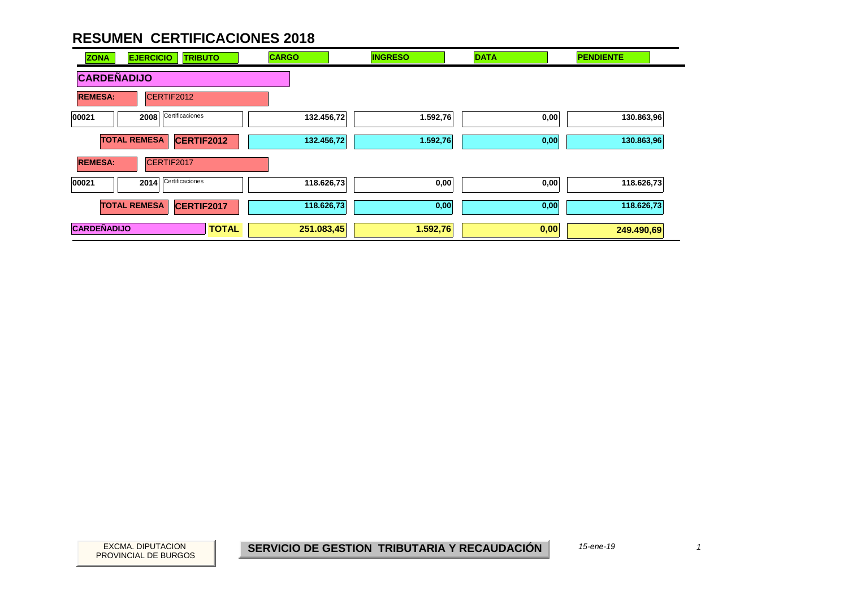| <b>ZONA</b>        | <b>EJERCICIO</b><br><b>TRIBUTO</b> | <b>CARGO</b> | <b>INGRESO</b> | <b>DATA</b> | <b>PENDIENTE</b> |
|--------------------|------------------------------------|--------------|----------------|-------------|------------------|
| <b>CARDEÑADIJO</b> |                                    |              |                |             |                  |
| <b>REMESA:</b>     | CERTIF2012                         |              |                |             |                  |
| 00021              | Certificaciones<br>2008            | 132.456,72   | 1.592,76       | 0,00        | 130.863,96       |
|                    | <b>TOTAL REMESA</b><br>CERTIF2012  | 132.456,72   | 1.592,76       | 0,00        | 130.863,96       |
| <b>REMESA:</b>     | CERTIF2017                         |              |                |             |                  |
| 00021              | Certificaciones<br>2014            | 118.626,73   | 0,00           | 0,00        | 118.626,73       |
|                    | <b>TOTAL REMESA</b><br>CERTIF2017  | 118.626,73   | 0,00           | 0,00        | 118.626,73       |
| <b>CARDEÑADIJO</b> | <b>TOTAL</b>                       | 251.083,45   | 1.592,76       | 0,00        | 249.490,69       |

PROVINCIAL DE BURGOS

EXCMA. DIPUTACION *1***SERVICIO DE GESTION TRIBUTARIA Y RECAUDACIÓN**

*15-ene-19*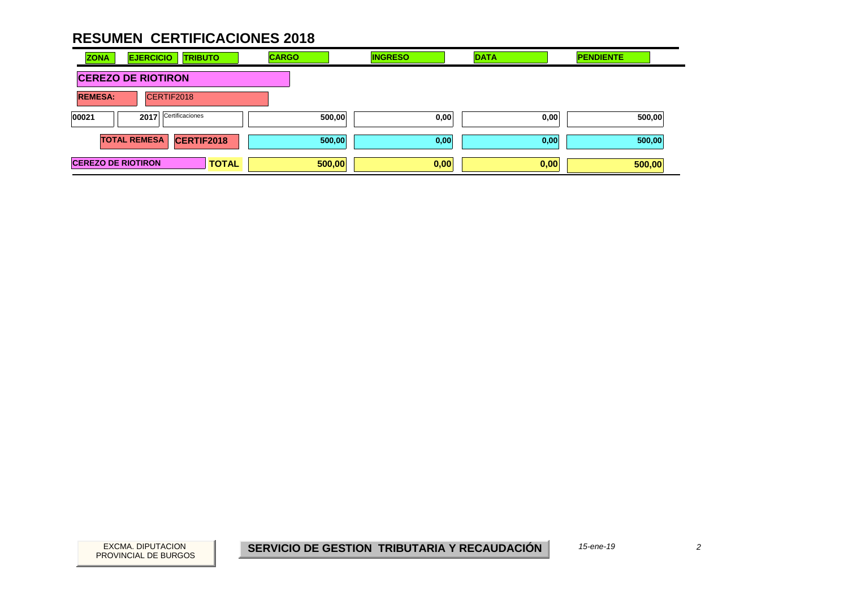| <b>ZONA</b>               | <b>EJERCICIO</b>          | <b>TRIBUTO</b>  | <b>CARGO</b> | <b>INGRESO</b> | <b>DATA</b> | <b>PENDIENTE</b> |  |
|---------------------------|---------------------------|-----------------|--------------|----------------|-------------|------------------|--|
|                           | <b>CEREZO DE RIOTIRON</b> |                 |              |                |             |                  |  |
| <b>REMESA:</b>            | CERTIF2018                |                 |              |                |             |                  |  |
| 00021                     | 2017                      | Certificaciones | 500,00       | 0,00           | 0,00        | 500,00           |  |
|                           | <b>TOTAL REMESA</b>       | CERTIF2018      | 500,00       | 0,00           | 0,00        | 500,00           |  |
| <b>CEREZO DE RIOTIRON</b> |                           | <b>TOTAL</b>    | 500,00       | 0,00           | 0,00        | 500,00           |  |

 $\overline{c}$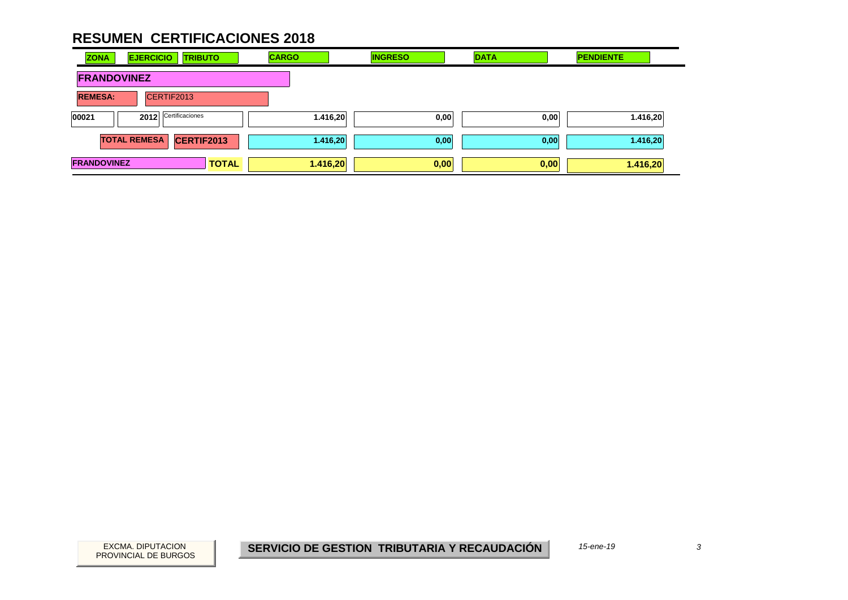| <b>ZONA</b>        | <b>EJERCICIO</b><br><b>TRIBUTO</b>       | <b>CARGO</b> | <b>INGRESO</b> | <b>DATA</b> | <b>PENDIENTE</b> |
|--------------------|------------------------------------------|--------------|----------------|-------------|------------------|
| <b>FRANDOVINEZ</b> |                                          |              |                |             |                  |
| <b>REMESA:</b>     | CERTIF2013                               |              |                |             |                  |
| 00021              | Certificaciones<br>2012                  | 1.416,20     | 0,00           | 0,00        | 1.416,20         |
|                    | <b>TOTAL REMESA</b><br><b>CERTIF2013</b> | 1.416,20     | 0,00           | 0,00        | 1.416,20         |
| <b>FRANDOVINEZ</b> | <b>TOTAL</b>                             | 1.416,20     | 0,00           | 0,00        | 1.416,20         |

 $\overline{3}$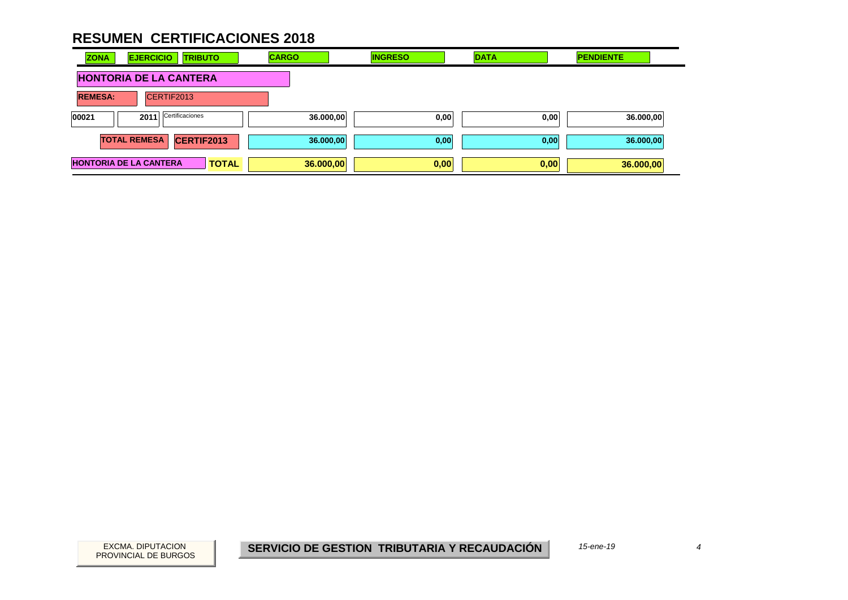| <b>ZONA</b>    | <b>EJERCICIO</b><br><b>TRIBUTO</b>            | <b>CARGO</b> | <b>INGRESO</b> | <b>DATA</b> | <b>PENDIENTE</b> |
|----------------|-----------------------------------------------|--------------|----------------|-------------|------------------|
|                | <b>HONTORIA DE LA CANTERA</b>                 |              |                |             |                  |
| <b>REMESA:</b> | CERTIF2013                                    |              |                |             |                  |
| 00021          | Certificaciones<br>2011                       | 36.000,00    | 0,00           | 0,00        | 36.000,00        |
|                | CERTIF2013<br><b>TOTAL REMESA</b>             | 36.000,00    | 0,00           | 0,00        | 36.000,00        |
|                | <b>HONTORIA DE LA CANTERA</b><br><b>TOTAL</b> | 36.000,00    | 0,00           | 0,00        | 36.000,00        |

 $\overline{4}$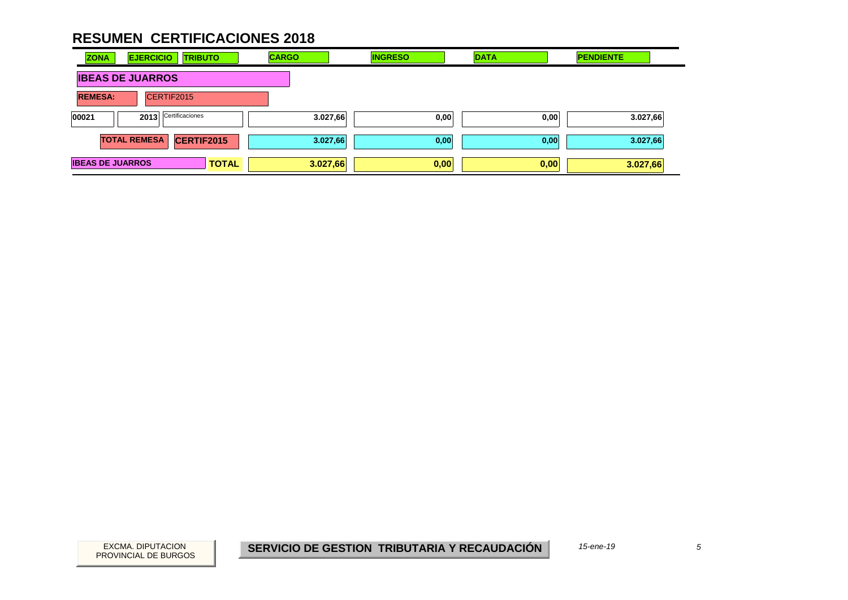| <b>ZONA</b>             | <b>EJERCICIO</b>        | <b>TRIBUTO</b>  | <b>CARGO</b> | <b>INGRESO</b> | <b>DATA</b> | <b>PENDIENTE</b> |
|-------------------------|-------------------------|-----------------|--------------|----------------|-------------|------------------|
|                         | <b>IBEAS DE JUARROS</b> |                 |              |                |             |                  |
| <b>REMESA:</b>          | CERTIF2015              |                 |              |                |             |                  |
| 00021                   | 2013                    | Certificaciones | 3.027,66     | 0,00           | 0,00        | 3.027,66         |
|                         | <b>TOTAL REMESA</b>     | CERTIF2015      | 3.027,66     | 0,00           | 0,00        | 3.027,66         |
| <b>IBEAS DE JUARROS</b> |                         | <b>TOTAL</b>    | 3.027,66     | 0,00           | 0,00        | 3.027,66         |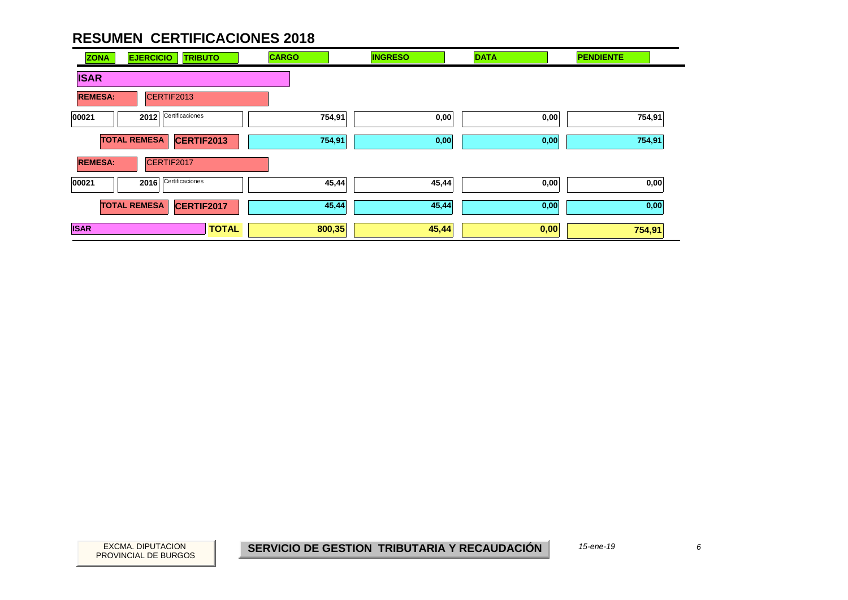| <b>ZONA</b>    | <b>EJERCICIO</b><br><b>TRIBUTO</b> | <b>CARGO</b> | <b>INGRESO</b> | <b>DATA</b> | <b>PENDIENTE</b> |
|----------------|------------------------------------|--------------|----------------|-------------|------------------|
| <b>ISAR</b>    |                                    |              |                |             |                  |
| <b>REMESA:</b> | CERTIF2013                         |              |                |             |                  |
| 00021          | Certificaciones<br>2012            | 754,91       | 0,00           | 0,00        | 754,91           |
|                | <b>TOTAL REMESA</b><br>CERTIF2013  | 754,91       | 0,00           | 0,00        | 754,91           |
| <b>REMESA:</b> | CERTIF2017                         |              |                |             |                  |
| 00021          | Certificaciones<br>2016            | 45,44        | 45,44          | 0,00        | 0,00             |
|                | <b>TOTAL REMESA</b><br>CERTIF2017  | 45,44        | 45,44          | 0,00        | 0,00             |
| <b>ISAR</b>    | <b>TOTAL</b>                       | 800,35       | 45,44          | 0,00        | 754,91           |

PROVINCIAL DE BURGOS

EXCMA. DIPUTACION *6***SERVICIO DE GESTION TRIBUTARIA Y RECAUDACIÓN**

*15-ene-19*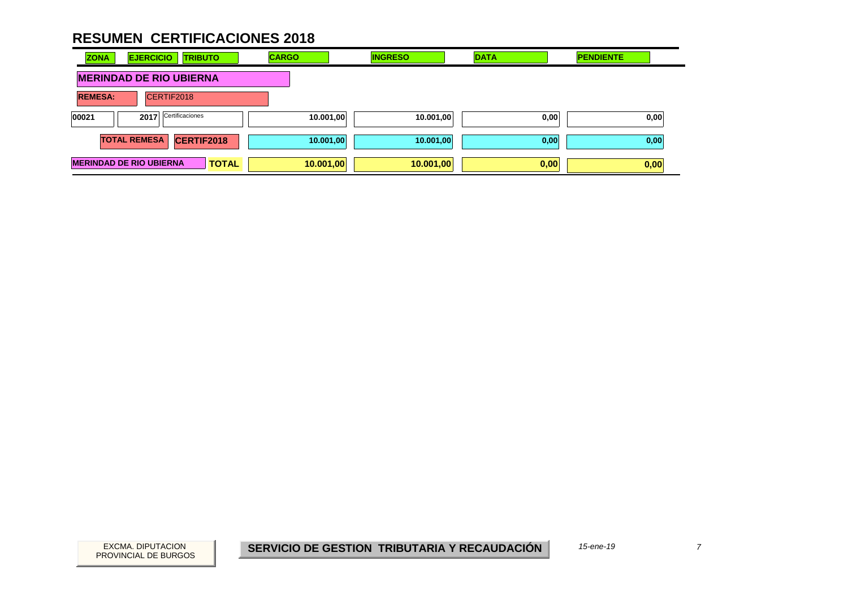| <b>ZONA</b>    | <b>EJERCICIO</b><br><b>TRIBUTO</b>             | <b>CARGO</b> | <b>INGRESO</b> | <b>DATA</b> | <b>PENDIENTE</b> |
|----------------|------------------------------------------------|--------------|----------------|-------------|------------------|
|                | <b>MERINDAD DE RIO UBIERNA</b>                 |              |                |             |                  |
| <b>REMESA:</b> | CERTIF2018                                     |              |                |             |                  |
| 00021          | Certificaciones<br>2017                        | 10.001,00    | 10.001,00      | 0,00        | 0,00             |
|                | CERTIF2018<br><b>TOTAL REMESA</b>              | 10.001,00    | 10.001,00      | 0,00        | 0,00             |
|                | <b>MERINDAD DE RIO UBIERNA</b><br><b>TOTAL</b> | 10.001,00    | 10.001,00      | 0,00        | 0,00             |

 $\overline{7}$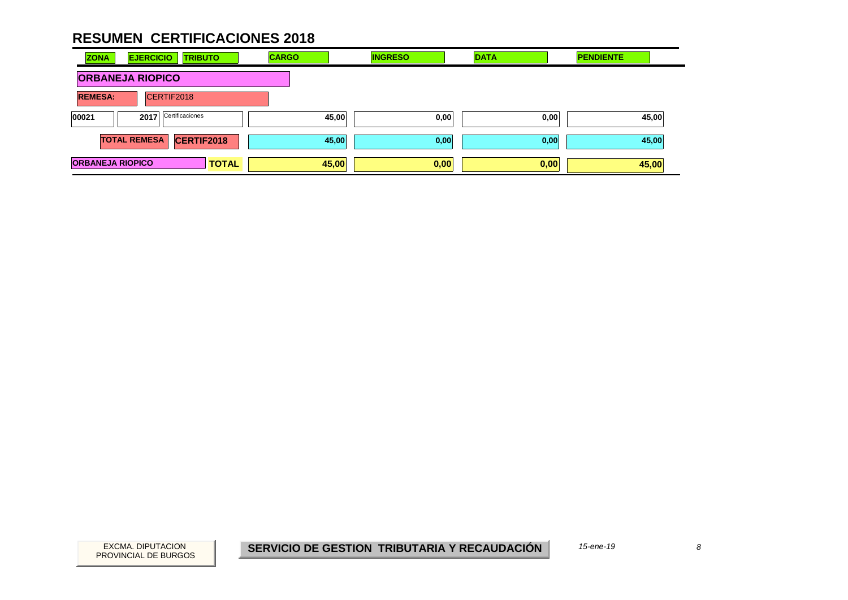| <b>ZONA</b>             | <b>EJERCICIO</b><br><b>TRIBUTO</b> | <b>CARGO</b> |       | <b>INGRESO</b> | <b>DATA</b> | <b>PENDIENTE</b> |  |
|-------------------------|------------------------------------|--------------|-------|----------------|-------------|------------------|--|
|                         | <b>ORBANEJA RIOPICO</b>            |              |       |                |             |                  |  |
| <b>REMESA:</b>          | CERTIF2018                         |              |       |                |             |                  |  |
| 00021                   | Certificaciones<br>2017            |              | 45,00 | 0,00           | 0,00        | 45,00            |  |
|                         | CERTIF2018<br><b>TOTAL REMESA</b>  |              | 45,00 | 0,00           | 0,00        | 45,00            |  |
| <b>ORBANEJA RIOPICO</b> |                                    | <b>TOTAL</b> | 45,00 | 0,00           | 0,00        | 45,00            |  |

 $\boldsymbol{\delta}$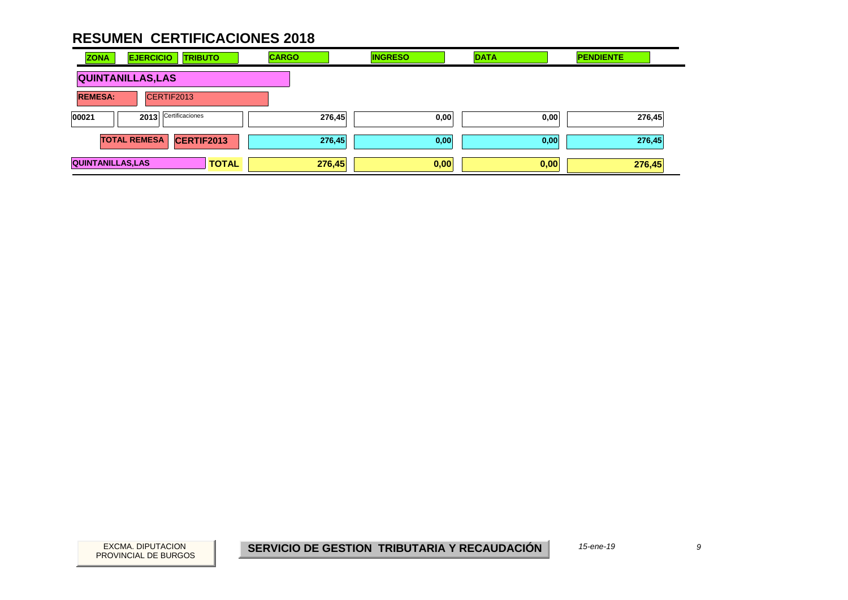| <b>ZONA</b>              | <b>EJERCICIO</b>    | <b>TRIBUTO</b>    | <b>CARGO</b> | <b>INGRESO</b> | <b>DATA</b> | <b>PENDIENTE</b> |
|--------------------------|---------------------|-------------------|--------------|----------------|-------------|------------------|
| <b>QUINTANILLAS, LAS</b> |                     |                   |              |                |             |                  |
| <b>REMESA:</b>           |                     | CERTIF2013        |              |                |             |                  |
| 00021                    | 2013                | Certificaciones   | 276,45       | 0,00           | 0,00        | 276,45           |
|                          | <b>TOTAL REMESA</b> | <b>CERTIF2013</b> | 276,45       | 0,00           | 0,00        | 276,45           |
| <b>QUINTANILLAS, LAS</b> |                     | <b>TOTAL</b>      | 276,45       | 0,00           | 0,00        | 276,45           |

 $\mathfrak{g}$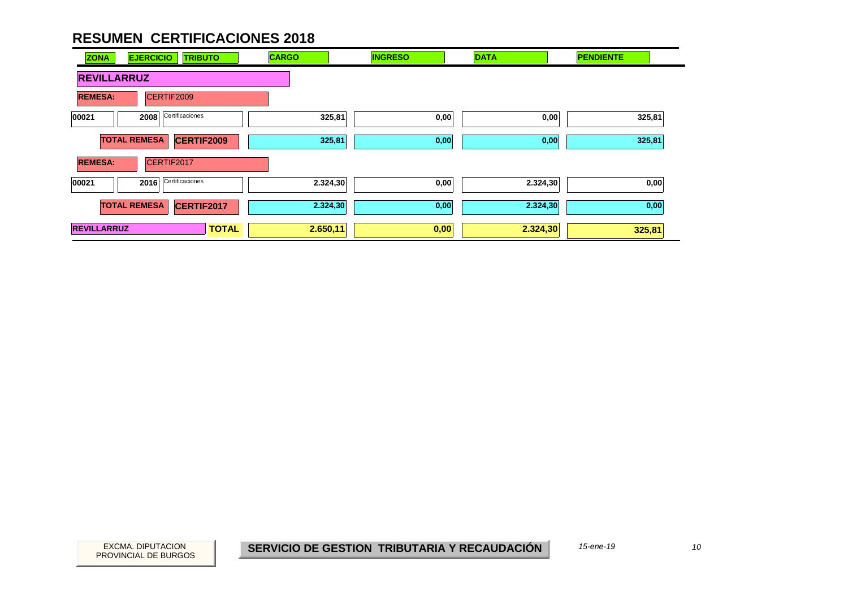| <b>ZONA</b>        | <b>EJERCICIO</b><br><b>TRIBUTO</b>       | <b>CARGO</b> | <b>INGRESO</b> | <b>DATA</b> | <b>PENDIENTE</b> |
|--------------------|------------------------------------------|--------------|----------------|-------------|------------------|
| <b>REVILLARRUZ</b> |                                          |              |                |             |                  |
| <b>REMESA:</b>     | CERTIF2009                               |              |                |             |                  |
| 00021              | Certificaciones<br>2008                  | 325,81       | 0,00           | 0,00        | 325,81           |
|                    | <b>TOTAL REMESA</b><br><b>CERTIF2009</b> | 325,81       | 0,00           | 0,00        | 325,81           |
| <b>REMESA:</b>     | CERTIF2017                               |              |                |             |                  |
| 00021              | Certificaciones<br>2016                  | 2.324,30     | 0,00           | 2.324,30    | 0,00             |
|                    | <b>TOTAL REMESA</b><br>CERTIF2017        | 2.324,30     | 0,00           | 2.324,30    | 0,00             |
| <b>REVILLARRUZ</b> | <b>TOTAL</b>                             | 2.650,11     | 0,00           | 2.324,30    | 325,81           |

PROVINCIAL DE BURGOS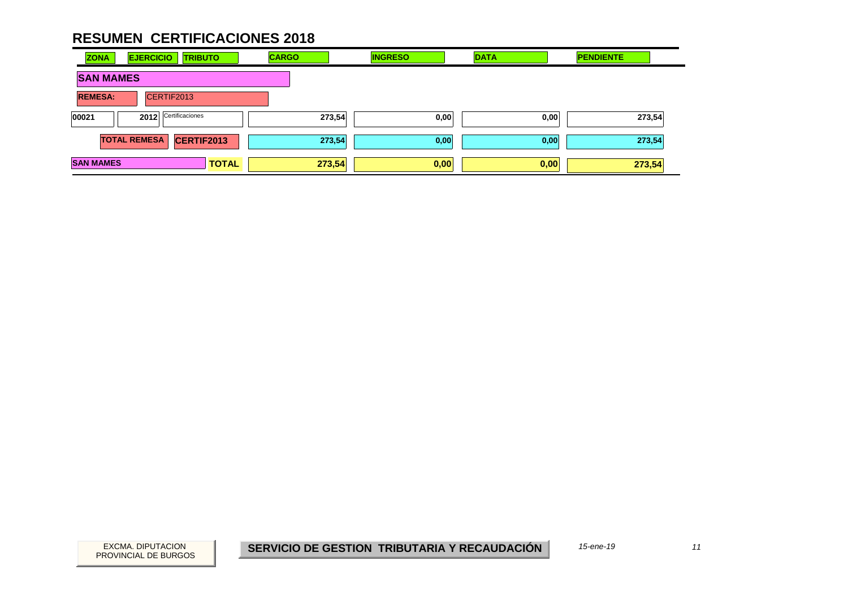| <b>ZONA</b>      | <b>EJERCICIO</b><br><b>TRIBUTO</b> | <b>CARGO</b> | <b>INGRESO</b> | <b>DATA</b> | <b>PENDIENTE</b> |
|------------------|------------------------------------|--------------|----------------|-------------|------------------|
| <b>SAN MAMES</b> |                                    |              |                |             |                  |
| <b>REMESA:</b>   | CERTIF2013                         |              |                |             |                  |
| 00021            | Certificaciones<br>2012            | 273,54       | 0,00           | 0,00        | 273,54           |
|                  | <b>TOTAL REMESA</b><br>CERTIF2013  | 273,54       | 0,00           | 0,00        | 273,54           |
| <b>SAN MAMES</b> | <b>TOTAL</b>                       | 273,54       | 0,00           | 0,00        | 273,54           |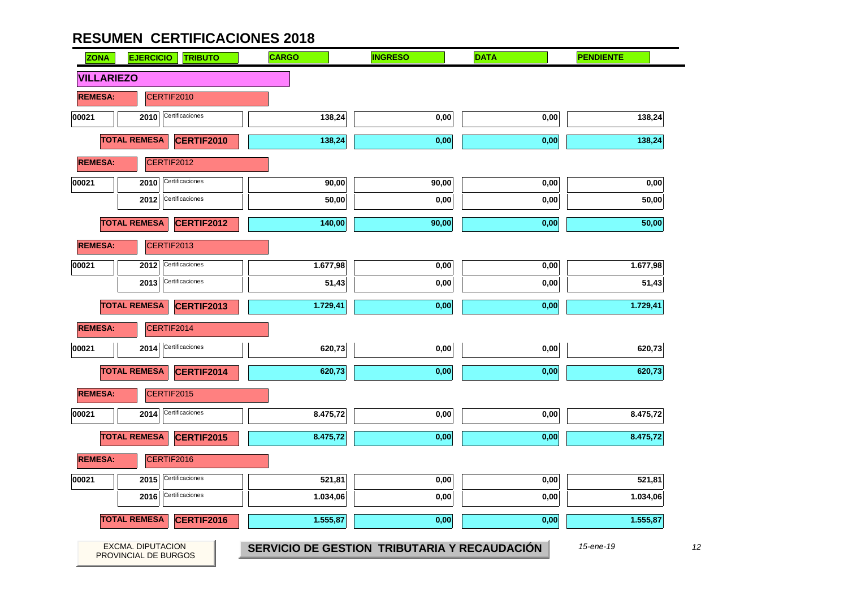| <b>ZONA</b>       | <b>EJERCICIO</b><br><b>TRIBUTO</b>               | <b>CARGO</b>                                 | <b>INGRESO</b> | <b>DATA</b> | <b>PENDIENTE</b> |
|-------------------|--------------------------------------------------|----------------------------------------------|----------------|-------------|------------------|
| <b>VILLARIEZO</b> |                                                  |                                              |                |             |                  |
| <b>REMESA:</b>    | CERTIF2010                                       |                                              |                |             |                  |
| 00021             | Certificaciones<br>2010                          | 138,24                                       | 0,00           | 0,00        | 138,24           |
|                   | <b>TOTAL REMESA</b><br>CERTIF2010                | 138,24                                       | 0,00           | 0,00        | 138,24           |
| <b>REMESA:</b>    | CERTIF2012                                       |                                              |                |             |                  |
| 00021             | Certificaciones<br>2010                          | 90,00                                        | 90,00          | 0,00        | 0,00             |
|                   | Certificaciones<br>2012                          | 50,00                                        | 0,00           | 0,00        | 50,00            |
|                   | <b>TOTAL REMESA</b><br><b>CERTIF2012</b>         | 140,00                                       | 90,00          | 0,00        | 50,00            |
| <b>REMESA:</b>    | CERTIF2013                                       |                                              |                |             |                  |
| 00021             | Certificaciones<br>2012                          | 1.677,98                                     | 0,00           | 0,00        | 1.677,98         |
|                   | Certificaciones<br>2013                          | 51,43                                        | 0,00           | 0,00        | 51,43            |
|                   | <b>TOTAL REMESA</b><br><b>CERTIF2013</b>         | 1.729,41                                     | 0,00           | 0,00        | 1.729,41         |
| <b>REMESA:</b>    | CERTIF2014                                       |                                              |                |             |                  |
| 00021             | Certificaciones<br>2014                          | 620,73                                       | 0,00           | 0,00        | 620,73           |
|                   | <b>TOTAL REMESA</b><br>CERTIF2014                | 620,73                                       | 0,00           | 0,00        | 620,73           |
| <b>REMESA:</b>    | CERTIF2015                                       |                                              |                |             |                  |
| 00021             | Certificaciones<br>2014                          | 8.475,72                                     | 0,00           | 0,00        | 8.475,72         |
|                   | <b>TOTAL REMESA</b><br>CERTIF2015                | 8.475,72                                     | 0,00           | 0,00        | 8.475,72         |
| <b>REMESA:</b>    | CERTIF2016                                       |                                              |                |             |                  |
| 00021             | Certificaciones<br>2015                          | 521,81                                       | 0,00           | 0,00        | 521,81           |
|                   | Certificaciones<br>2016                          | 1.034,06                                     | 0,00           | 0,00        | 1.034,06         |
|                   | <b>TOTAL REMESA</b><br>CERTIF2016                | 1.555,87                                     | 0,00           | $0,\!00$    | 1.555,87         |
|                   | <b>EXCMA. DIPUTACION</b><br>PROVINCIAL DE BURGOS | SERVICIO DE GESTION TRIBUTARIA Y RECAUDACIÓN |                |             | 15-ene-19        |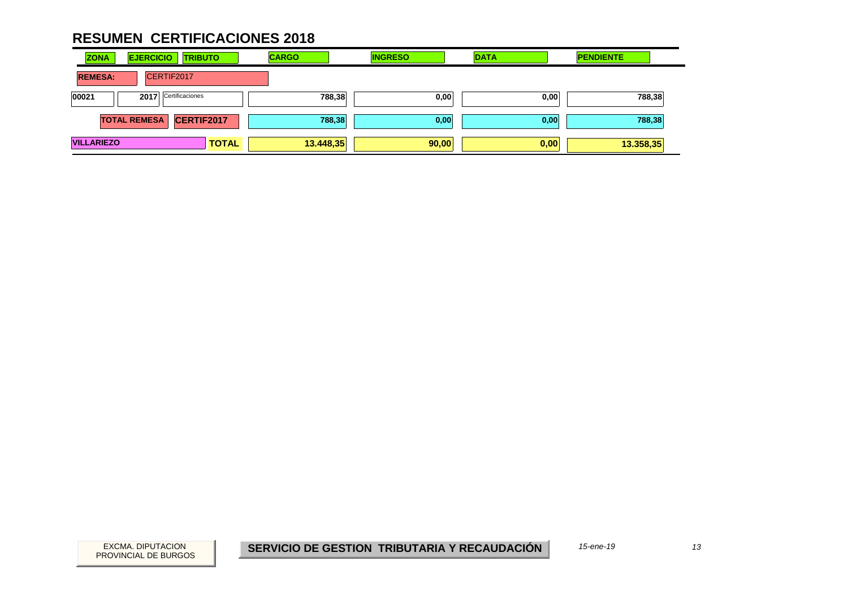| <b>ZONA</b><br><b>EJERCICIO</b><br><b>TRIBUTO</b> | <b>CARGO</b> | <b>INGRESO</b> | <b>DATA</b> | <b>PENDIENTE</b> |
|---------------------------------------------------|--------------|----------------|-------------|------------------|
| <b>REMESA:</b><br>CERTIF2017                      |              |                |             |                  |
| Certificaciones<br>00021<br>2017                  | 788,38       | 0,00           | 0,00        | 788,38           |
| <b>TOTAL REMESA</b><br>CERTIF2017                 | 788,38       | 0,00           | 0,00        | 788,38           |
| <b>VILLARIEZO</b><br><b>TOTAL</b>                 | 13.448,35    | 90,00          | 0,00        | 13.358,35        |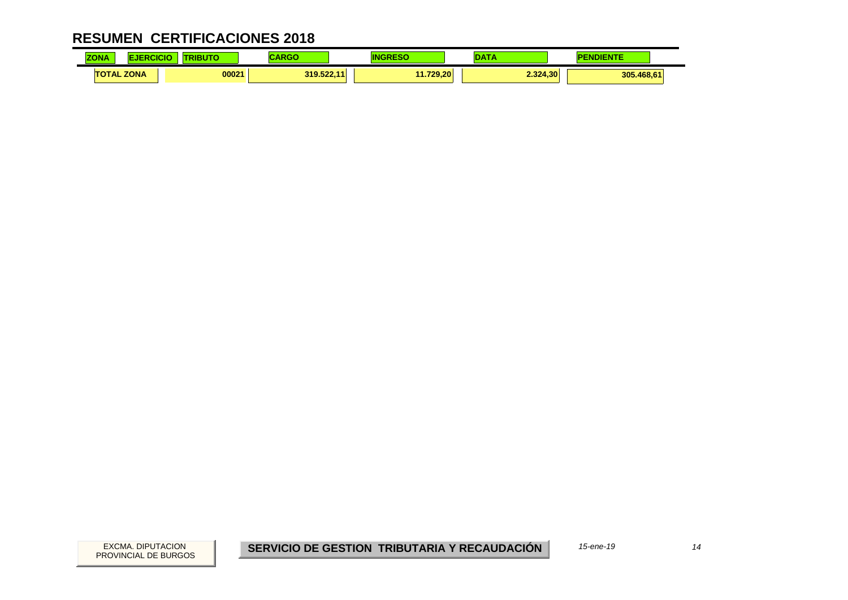| <b>ZONA</b> |                   | .<br><b>ERIBUL.</b> | .          |           | ---      | INIENTE<br>. |
|-------------|-------------------|---------------------|------------|-----------|----------|--------------|
|             | <b>TOTAL ZONA</b> | 00021               | 319.522.11 | 11.729.20 | 2.324.30 | 305.468,61   |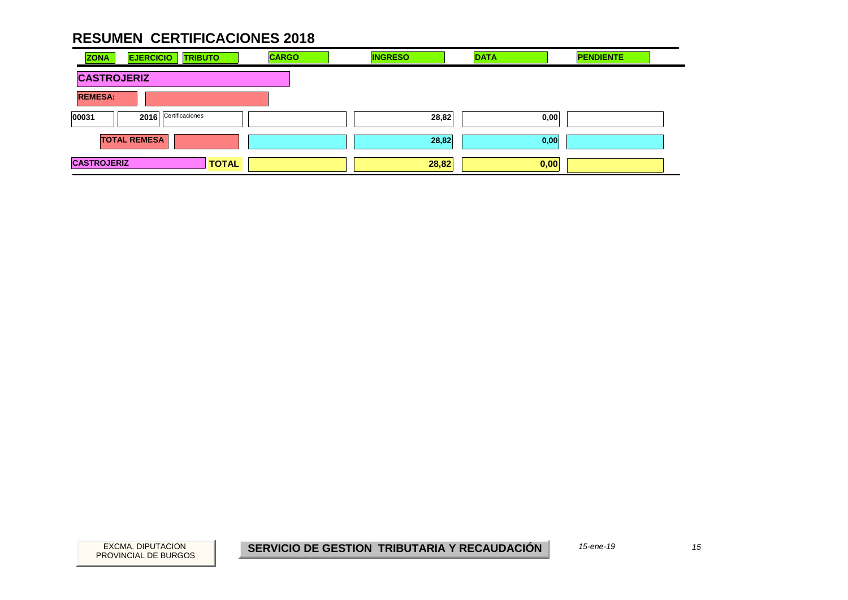| <b>CARGO</b><br><b>EJERCICIO</b><br><b>ZONA</b><br><b>TRIBUTO</b> | <b>INGRESO</b> | <b>DATA</b> | <b>PENDIENTE</b> |  |  |  |  |  |
|-------------------------------------------------------------------|----------------|-------------|------------------|--|--|--|--|--|
| <b>CASTROJERIZ</b>                                                |                |             |                  |  |  |  |  |  |
| <b>REMESA:</b>                                                    |                |             |                  |  |  |  |  |  |
| 2016 Certificaciones<br>00031                                     | 28,82          | 0,00        |                  |  |  |  |  |  |
| <b>TOTAL REMESA</b>                                               | 28,82          | 0,00        |                  |  |  |  |  |  |
| <b>CASTROJERIZ</b><br><b>TOTAL</b>                                | 28,82          | 0,00        |                  |  |  |  |  |  |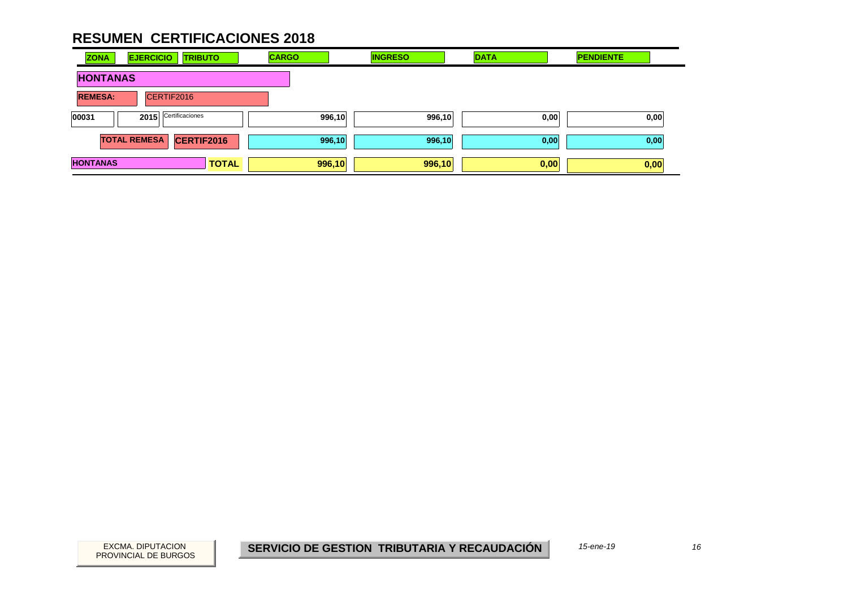| <b>ZONA</b>     | <b>EJERCICIO</b><br><b>TRIBUTO</b> | <b>CARGO</b> | <b>INGRESO</b> | <b>DATA</b> | <b>PENDIENTE</b> |
|-----------------|------------------------------------|--------------|----------------|-------------|------------------|
| <b>HONTANAS</b> |                                    |              |                |             |                  |
| <b>REMESA:</b>  | CERTIF2016                         |              |                |             |                  |
| 00031           | Certificaciones<br>2015            | 996,10       | 996,10         | 0,00        | 0,00             |
|                 | <b>TOTAL REMESA</b><br>CERTIF2016  | 996,10       | 996,10         | 0,00        | 0,00             |
| <b>HONTANAS</b> | <b>TOTAL</b>                       | 996,10       | 996,10         | 0,00        | 0,00             |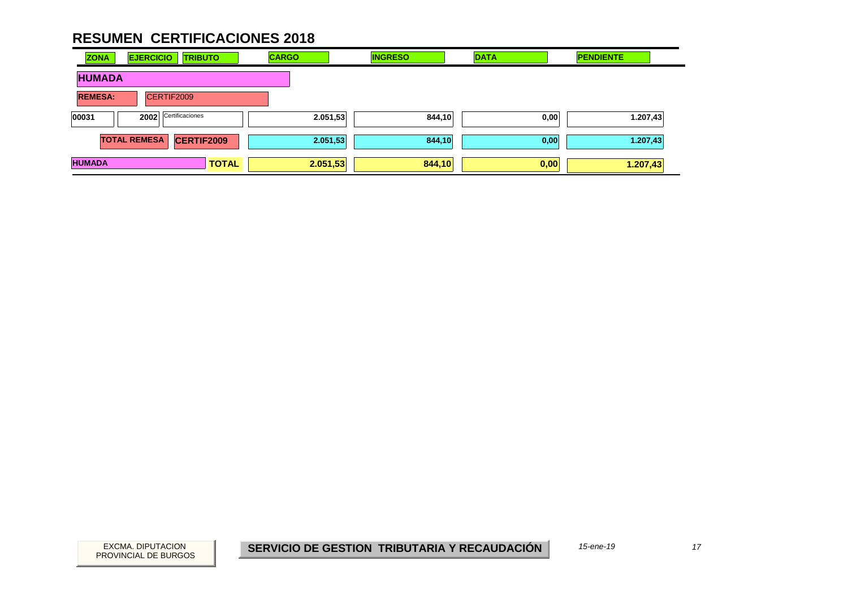| <b>ZONA</b>    | <b>EJERCICIO</b><br><b>TRIBUTO</b>       | <b>CARGO</b> | <b>INGRESO</b> | <b>DATA</b> | <b>PENDIENTE</b> |
|----------------|------------------------------------------|--------------|----------------|-------------|------------------|
| <b>HUMADA</b>  |                                          |              |                |             |                  |
| <b>REMESA:</b> | CERTIF2009                               |              |                |             |                  |
| 00031          | Certificaciones<br>2002                  | 2.051,53     | 844,10         | 0,00        | 1.207,43         |
|                | <b>CERTIF2009</b><br><b>TOTAL REMESA</b> | 2.051,53     | 844,10         | 0,00        | 1.207,43         |
| <b>HUMADA</b>  | <b>TOTAL</b>                             | 2.051,53     | 844,10         | 0,00        | 1.207,43         |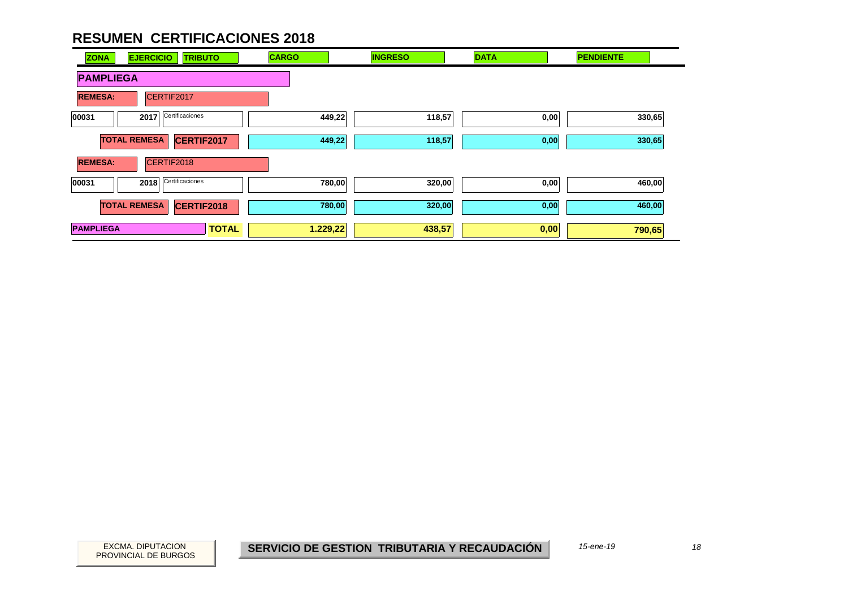| <b>ZONA</b>      | <b>EJERCICIO</b><br><b>TRIBUTO</b> | <b>CARGO</b> | <b>INGRESO</b> | <b>DATA</b> | <b>PENDIENTE</b> |
|------------------|------------------------------------|--------------|----------------|-------------|------------------|
| <b>PAMPLIEGA</b> |                                    |              |                |             |                  |
| <b>REMESA:</b>   | CERTIF2017                         |              |                |             |                  |
| 00031            | Certificaciones<br>2017            | 449,22       | 118,57         | 0,00        | 330,65           |
|                  | <b>TOTAL REMESA</b><br>CERTIF2017  | 449,22       | 118,57         | 0,00        | 330,65           |
| <b>REMESA:</b>   | CERTIF2018                         |              |                |             |                  |
| 00031            | Certificaciones<br>2018            | 780,00       | 320,00         | 0,00        | 460,00           |
|                  | <b>TOTAL REMESA</b><br>CERTIF2018  | 780,00       | 320,00         | 0,00        | 460,00           |
| <b>PAMPLIEGA</b> | <b>TOTAL</b>                       | 1.229,22     | 438,57         | 0,00        | 790,65           |

PROVINCIAL DE BURGOS

EXCMA. DIPUTACION *18***SERVICIO DE GESTION TRIBUTARIA Y RECAUDACIÓN**

*15-ene-19*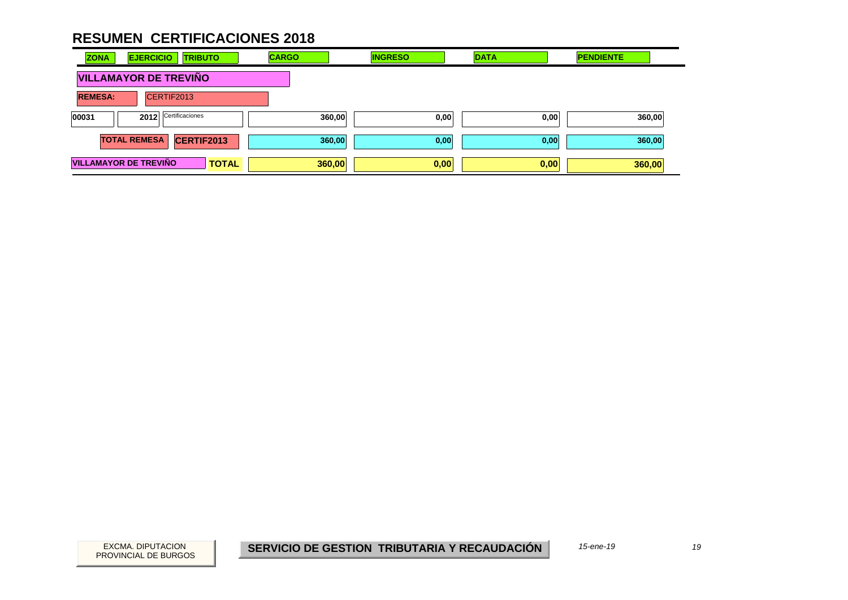| <b>ZONA</b>    | <b>EJERCICIO</b><br><b>TRIBUTO</b>           | <b>CARGO</b> | <b>INGRESO</b> | <b>DATA</b> | <b>PENDIENTE</b> |
|----------------|----------------------------------------------|--------------|----------------|-------------|------------------|
|                | <b>VILLAMAYOR DE TREVIÑO</b>                 |              |                |             |                  |
| <b>REMESA:</b> | CERTIF2013                                   |              |                |             |                  |
| 00031          | Certificaciones<br>2012                      | 360,00       | 0,00           | 0,00        | 360,00           |
|                | <b>TOTAL REMESA</b><br>CERTIF2013            | 360,00       | 0,00           | 0,00        | 360,00           |
|                | <b>VILLAMAYOR DE TREVIÑO</b><br><b>TOTAL</b> | 360,00       | 0,00           | 0,00        | 360,00           |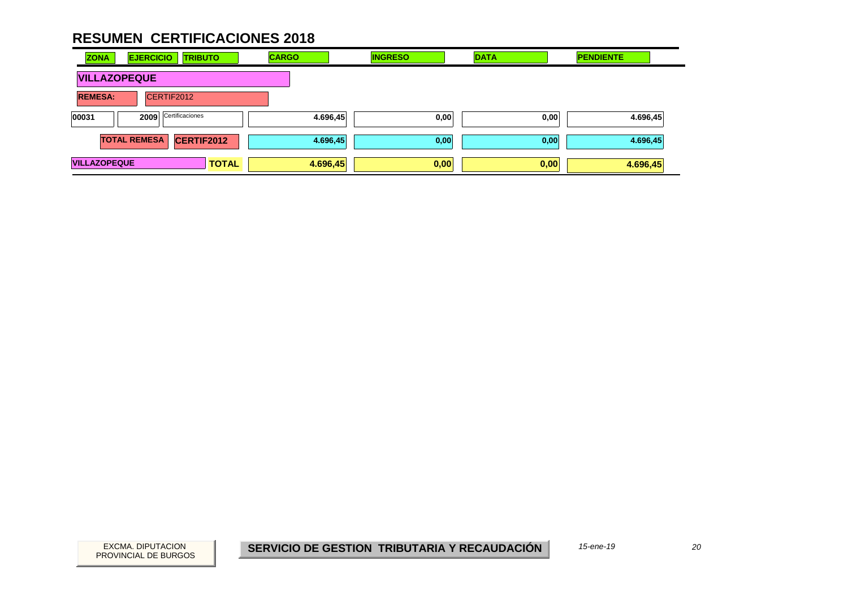| <b>ZONA</b>         | <b>EJERCICIO</b><br><b>TRIBUTO</b>       | <b>CARGO</b> | <b>INGRESO</b> | <b>DATA</b> | <b>PENDIENTE</b> |
|---------------------|------------------------------------------|--------------|----------------|-------------|------------------|
| <b>VILLAZOPEQUE</b> |                                          |              |                |             |                  |
| <b>REMESA:</b>      | CERTIF2012                               |              |                |             |                  |
| 00031               | Certificaciones<br>2009                  | 4.696,45     | 0,00           | 0,00        | 4.696,45         |
|                     | <b>TOTAL REMESA</b><br><b>CERTIF2012</b> | 4.696,45     | 0,00           | 0,00        | 4.696,45         |
| <b>VILLAZOPEQUE</b> | <b>TOTAL</b>                             | 4.696,45     | 0,00           | 0,00        | 4.696,45         |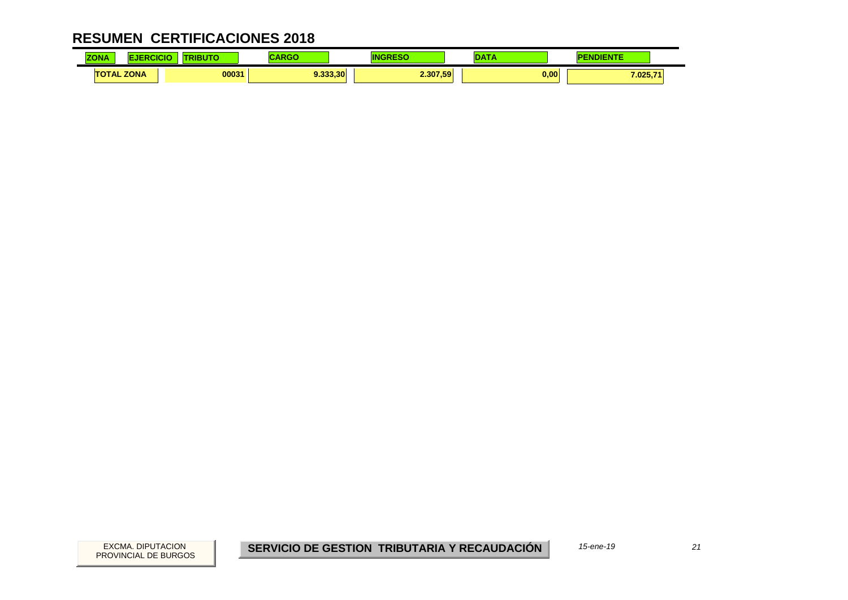| <b>70NA</b><br><b>SING</b> |             | <b><i>Change Company</i></b> |          |          | . .              |
|----------------------------|-------------|------------------------------|----------|----------|------------------|
| 1 A<br>$\sim$              | <b>ZONA</b> | 00031                        | 9.333.30 | 2.307,59 | 0,00<br>7.025,71 |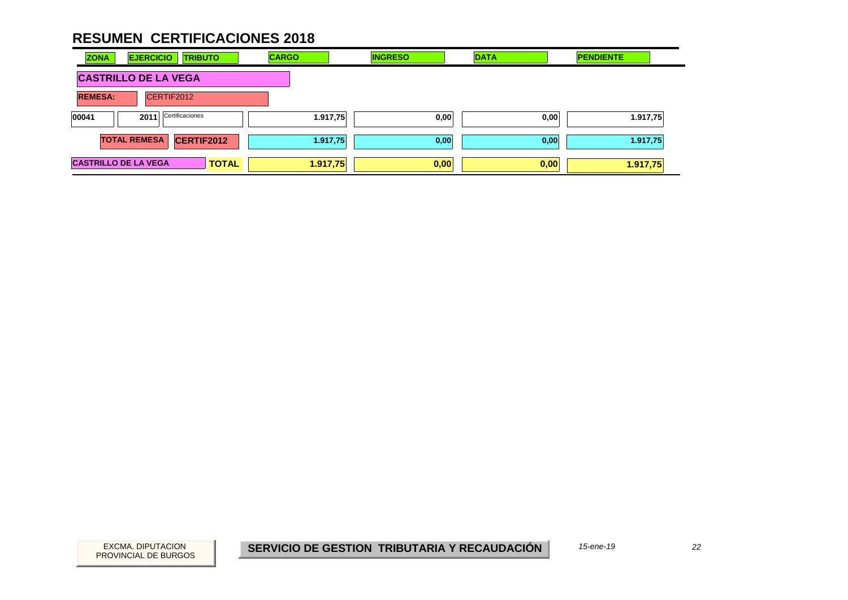| <b>ZONA</b>                 | <b>EJERCICIO</b><br><b>TRIBUTO</b>       | <b>CARGO</b> | <b>INGRESO</b> | <b>DATA</b> | <b>PENDIENTE</b> |
|-----------------------------|------------------------------------------|--------------|----------------|-------------|------------------|
|                             | <b>CASTRILLO DE LA VEGA</b>              |              |                |             |                  |
| <b>REMESA:</b>              | CERTIF2012                               |              |                |             |                  |
| 00041                       | Certificaciones<br>2011                  | 1.917,75     | 0,00           | 0,00        | 1.917,75         |
|                             | <b>TOTAL REMESA</b><br><b>CERTIF2012</b> | 1.917,75     | 0,00           | 0,00        | 1.917,75         |
| <b>CASTRILLO DE LA VEGA</b> | <b>TOTAL</b>                             | 1.917,75     | 0,00           | 0,00        | 1.917,75         |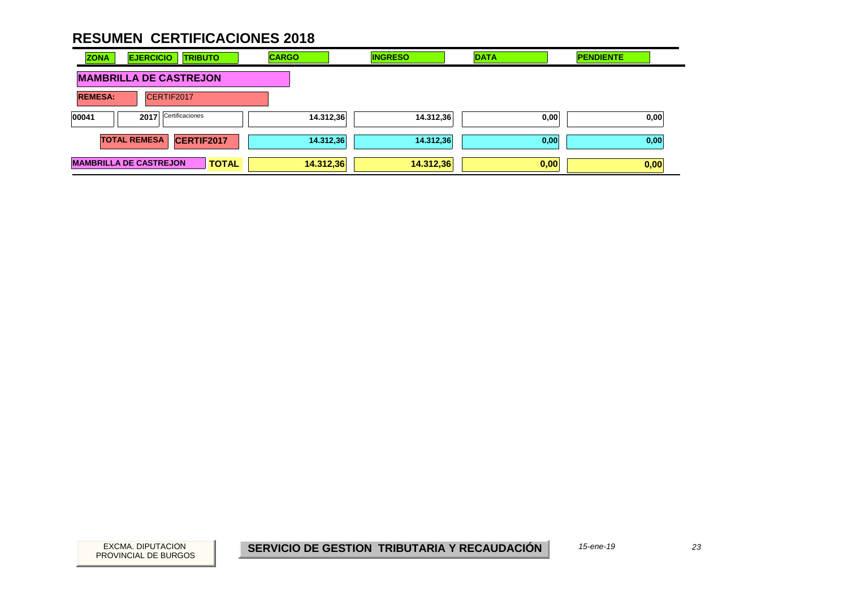| <b>EJERCICIO</b><br><b>ZONA</b><br><b>TRIBUTO</b> | <b>CARGO</b> | <b>INGRESO</b> | <b>DATA</b> | <b>PENDIENTE</b> |
|---------------------------------------------------|--------------|----------------|-------------|------------------|
| <b>MAMBRILLA DE CASTREJON</b>                     |              |                |             |                  |
| CERTIF2017<br><b>REMESA:</b>                      |              |                |             |                  |
| 00041<br>Certificaciones<br>2017                  | 14.312,36    | 14.312,36      | 0,00        | 0,00             |
| <b>TOTAL REMESA</b><br>CERTIF2017                 | 14.312,36    | 14.312,36      | 0,00        | 0,00             |
| <b>MAMBRILLA DE CASTREJON</b><br><b>TOTAL</b>     | 14.312,36    | 14.312,36      | 0,00        | 0,00             |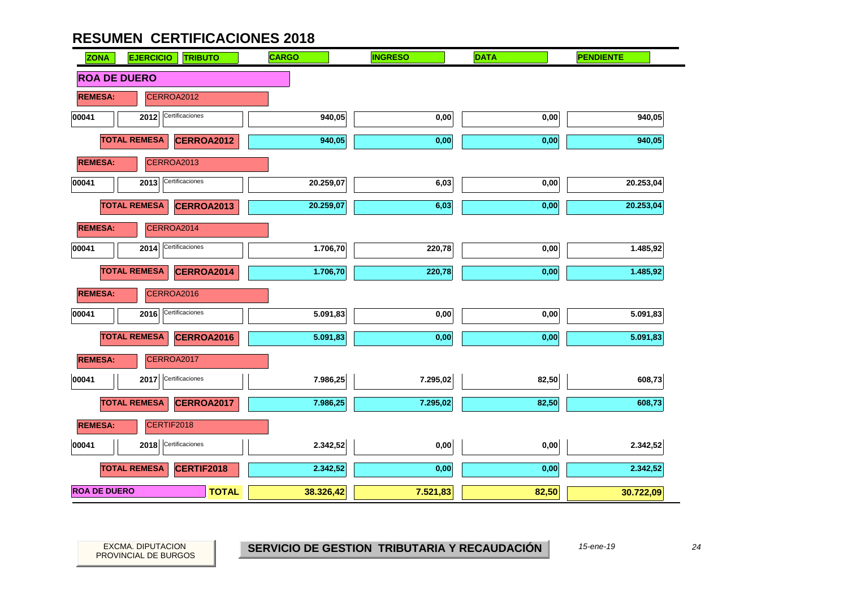

PROVINCIAL DE BURGOS

EXCMA. DIPUTACION *24***SERVICIO DE GESTION TRIBUTARIA Y RECAUDACIÓN**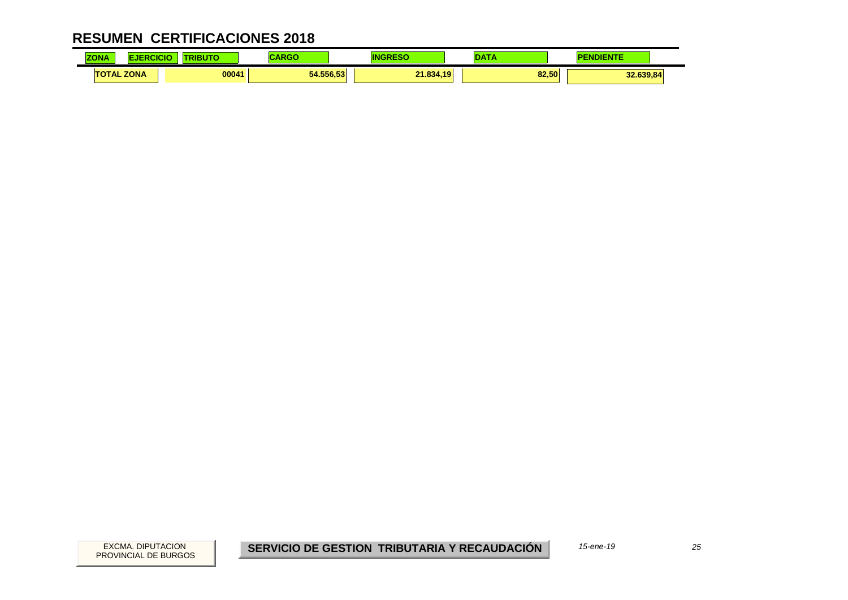| <b>70NA</b><br><b>CUNA</b> |             | <b>The Company of Company</b> |           |                                       |                    |
|----------------------------|-------------|-------------------------------|-----------|---------------------------------------|--------------------|
| <b>TAL</b>                 | <b>ZONA</b> | 00041                         | 54.556.53 | 21.834.10<br><u> — 1.034 —</u><br>. . | 82.50<br>32.639.84 |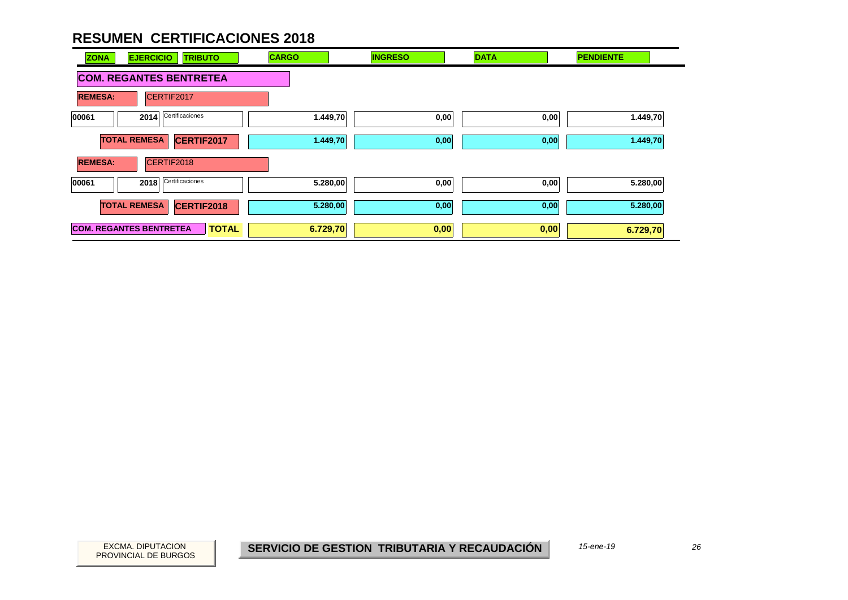

PROVINCIAL DE BURGOS

EXCMA. DIPUTACION *26***SERVICIO DE GESTION TRIBUTARIA Y RECAUDACIÓN**

*15-ene-19*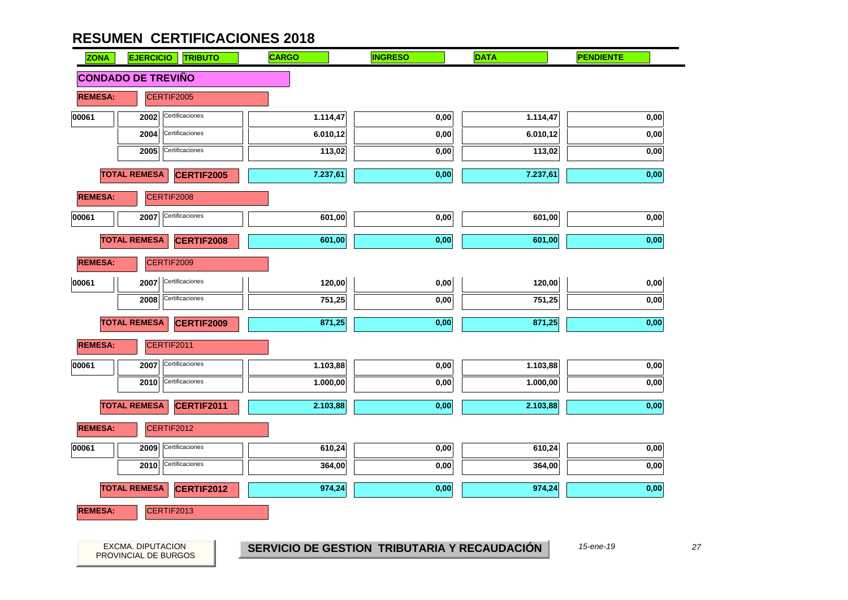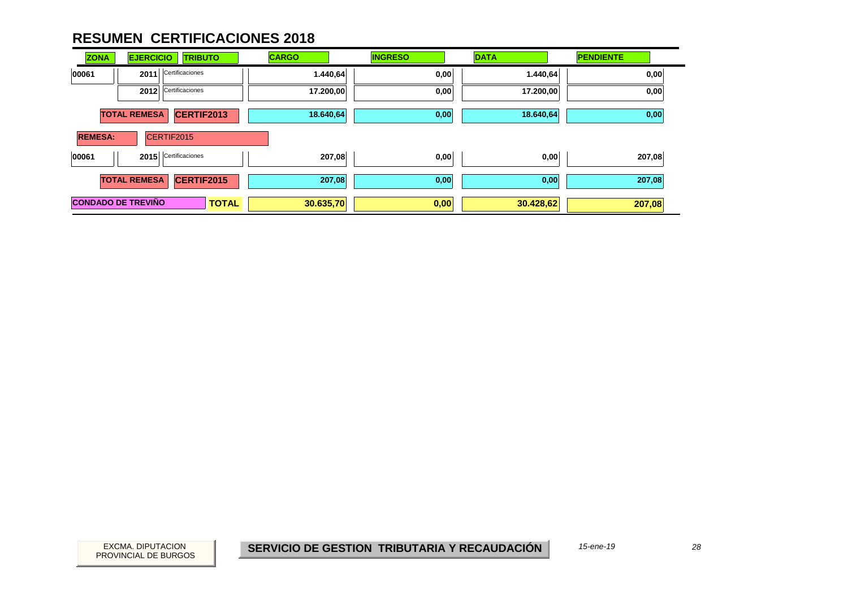| <b>ZONA</b>               | <b>EJERCICIO</b><br><b>TRIBUTO</b>       | <b>CARGO</b> | <b>INGRESO</b> | <b>DATA</b> | <b>PENDIENTE</b> |
|---------------------------|------------------------------------------|--------------|----------------|-------------|------------------|
| 00061                     | Certificaciones<br>2011                  | 1.440,64     | 0,00           | 1.440,64    | 0,00             |
|                           | Certificaciones<br>2012                  | 17.200,00    | 0,00           | 17.200,00   | 0,00             |
|                           | <b>TOTAL REMESA</b><br>CERTIF2013        | 18.640,64    | 0,00           | 18.640,64   | 0,00             |
| <b>REMESA:</b>            | CERTIF2015                               |              |                |             |                  |
| 00061                     | 2015 Certificaciones                     | 207,08       | 0,00           | 0,00        | 207,08           |
|                           | <b>TOTAL REMESA</b><br><b>CERTIF2015</b> | 207,08       | 0,00           | 0,00        | 207,08           |
| <b>CONDADO DE TREVIÑO</b> | <b>TOTAL</b>                             | 30.635,70    | 0,00           | 30.428,62   | 207,08           |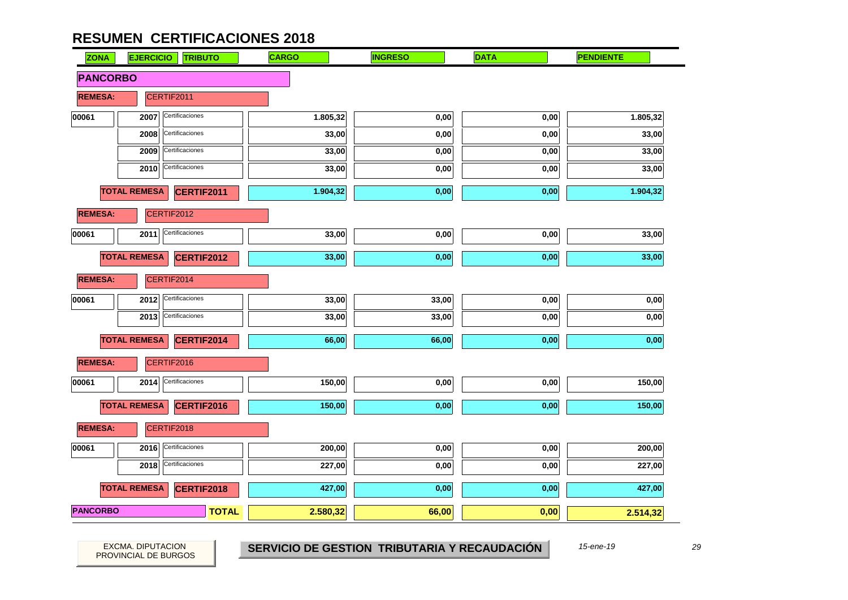| <b>ZONA</b>     | <b>EJERCICIO</b>    | <b>TRIBUTO</b>    | <b>CARGO</b> | <b>INGRESO</b> | <b>DATA</b> | <b>PENDIENTE</b> |
|-----------------|---------------------|-------------------|--------------|----------------|-------------|------------------|
| <b>PANCORBO</b> |                     |                   |              |                |             |                  |
| <b>REMESA:</b>  |                     | CERTIF2011        |              |                |             |                  |
| 00061           | 2007                | Certificaciones   | 1.805,32     | 0,00           | 0,00        | 1.805,32         |
|                 | 2008                | Certificaciones   | 33,00        | 0,00           | 0,00        | 33,00            |
|                 | 2009                | Certificaciones   | 33,00        | 0,00           | 0,00        | 33,00            |
|                 | 2010                | Certificaciones   | 33,00        | 0,00           | 0,00        | 33,00            |
|                 | <b>TOTAL REMESA</b> | CERTIF2011        | 1.904,32     | 0,00           | 0,00        | 1.904,32         |
| <b>REMESA:</b>  |                     | CERTIF2012        |              |                |             |                  |
| 00061           | 2011                | Certificaciones   | 33,00        | 0,00           | 0,00        | 33,00            |
|                 | <b>TOTAL REMESA</b> | <b>CERTIF2012</b> | 33,00        | 0,00           | 0,00        | 33,00            |
| <b>REMESA:</b>  |                     | CERTIF2014        |              |                |             |                  |
| 00061           | 2012                | Certificaciones   | 33,00        | 33,00          | 0,00        | 0,00             |
|                 | 2013                | Certificaciones   | 33,00        | 33,00          | 0,00        | 0,00             |
|                 | <b>TOTAL REMESA</b> | CERTIF2014        | 66,00        | 66,00          | 0,00        | 0,00             |
| <b>REMESA:</b>  |                     | CERTIF2016        |              |                |             |                  |
| 00061           | 2014                | Certificaciones   | 150,00       | 0,00           | 0,00        | 150,00           |
|                 | <b>TOTAL REMESA</b> | <b>CERTIF2016</b> | 150,00       | 0,00           | 0,00        | 150,00           |
| <b>REMESA:</b>  |                     | CERTIF2018        |              |                |             |                  |
| 00061           | 2016                | Certificaciones   | 200,00       | 0,00           | 0,00        | 200,00           |
|                 | 2018                | Certificaciones   | 227,00       | 0,00           | 0,00        | 227,00           |
|                 | <b>TOTAL REMESA</b> | <b>CERTIF2018</b> | 427,00       | 0,00           | 0,00        | 427,00           |
| <b>PANCORBO</b> |                     | <b>TOTAL</b>      | 2.580,32     | 66,00          | 0,00        | 2.514,32         |

PROVINCIAL DE BURGOS

EXCMA. DIPUTACION *29***SERVICIO DE GESTION TRIBUTARIA Y RECAUDACIÓN**

*15-ene-19*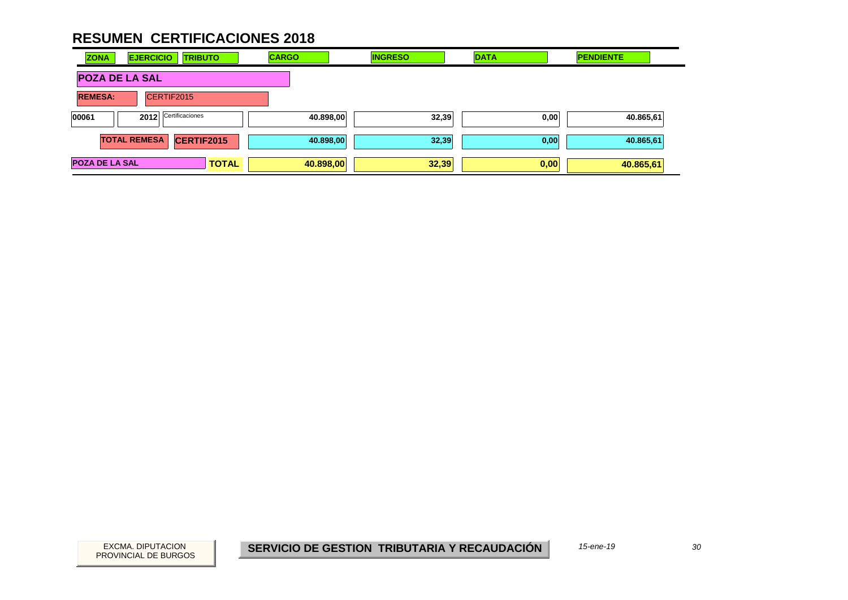| <b>ZONA</b>           | <b>EJERCICIO</b>        | <b>TRIBUTO</b> | <b>CARGO</b> | <b>INGRESO</b> | <b>DATA</b> | <b>PENDIENTE</b> |  |
|-----------------------|-------------------------|----------------|--------------|----------------|-------------|------------------|--|
| <b>POZA DE LA SAL</b> |                         |                |              |                |             |                  |  |
| <b>REMESA:</b>        | CERTIF2015              |                |              |                |             |                  |  |
| 00061                 | Certificaciones<br>2012 |                | 40.898,00    | 32,39          | 0,00        | 40.865,61        |  |
|                       | <b>TOTAL REMESA</b>     | CERTIF2015     | 40.898,00    | 32,39          | 0,00        | 40.865,61        |  |
| <b>POZA DE LA SAL</b> |                         | <b>TOTAL</b>   | 40.898,00    | 32,39          | 0,00        | 40.865,61        |  |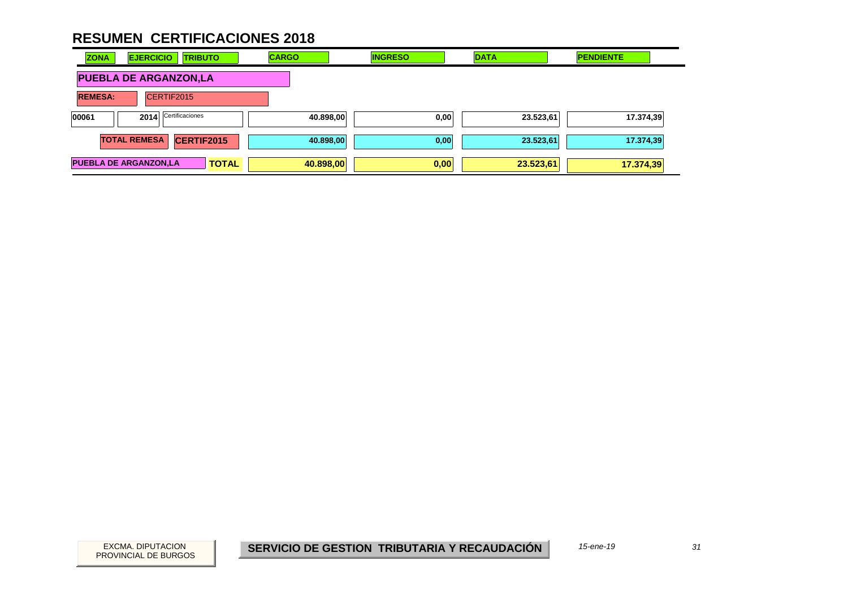| <b>ZONA</b>                  | <b>EJERCICIO</b><br><b>TRIBUTO</b>       | <b>CARGO</b> | <b>INGRESO</b> | <b>DATA</b> | <b>PENDIENTE</b> |
|------------------------------|------------------------------------------|--------------|----------------|-------------|------------------|
|                              | <b>PUEBLA DE ARGANZON,LA</b>             |              |                |             |                  |
| <b>REMESA:</b>               | CERTIF2015                               |              |                |             |                  |
| 00061                        | Certificaciones<br>2014                  | 40.898,00    | 0,00           | 23.523,61   | 17.374,39        |
|                              | <b>CERTIF2015</b><br><b>TOTAL REMESA</b> | 40.898,00    | 0,00           | 23.523,61   | 17.374,39        |
| <b>PUEBLA DE ARGANZON,LA</b> | <b>TOTAL</b>                             | 40.898,00    | 0,00           | 23.523,61   | 17.374,39        |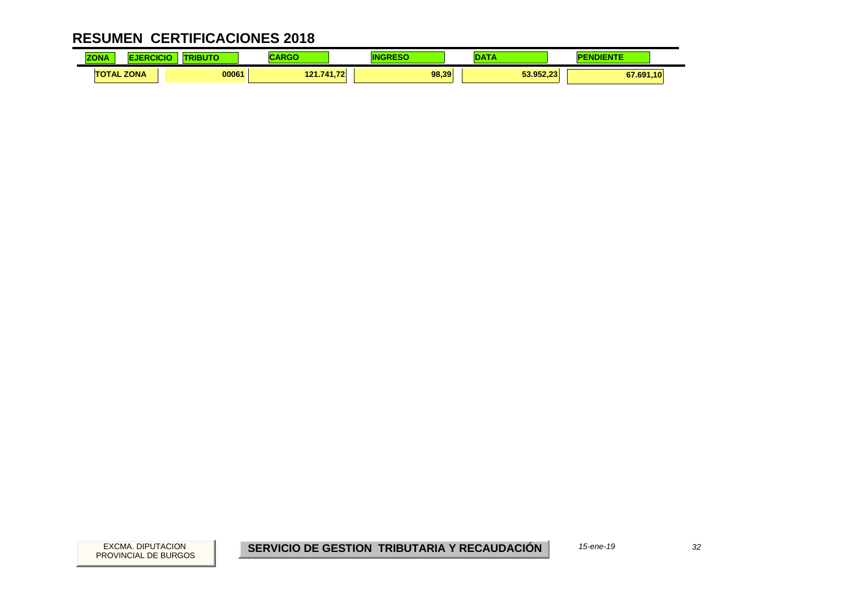| <b>ZONIA</b><br>.       |             | <b>.</b><br>R |                |       | $\sim$ $-$                    |           |
|-------------------------|-------------|---------------|----------------|-------|-------------------------------|-----------|
| <b>TAL</b><br><b>TO</b> | <b>ZONA</b> | 00061         | .741.72<br>121 | 98.39 | <b>E2 052.22</b><br>33.932.Z3 | 67.691,10 |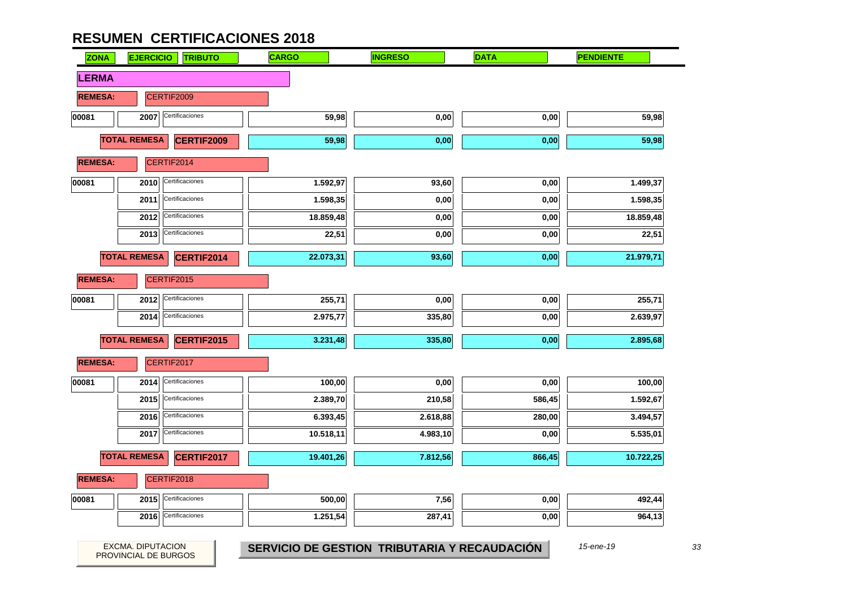PROVINCIAL DE BURGOS

| <b>ZONA</b>    | <b>EJERCICIO</b>     | <b>TRIBUTO</b>  | <b>CARGO</b> | <b>INGRESO</b> | <b>DATA</b> | <b>PENDIENTE</b> |
|----------------|----------------------|-----------------|--------------|----------------|-------------|------------------|
| <b>LERMA</b>   |                      |                 |              |                |             |                  |
| <b>REMESA:</b> | CERTIF2009           |                 |              |                |             |                  |
| 00081          | 2007 Certificaciones |                 | 59,98        | 0,00           | 0,00        | 59,98            |
|                | <b>TOTAL REMESA</b>  | CERTIF2009      | 59,98        | 0,00           | 0,00        | 59,98            |
| <b>REMESA:</b> | CERTIF2014           |                 |              |                |             |                  |
| 00081          | 2010                 | Certificaciones | 1.592,97     | 93,60          | 0,00        | 1.499,37         |
|                | 2011                 | Certificaciones | 1.598,35     | 0,00           | 0,00        | 1.598,35         |
|                | 2012                 | Certificaciones | 18.859,48    | 0,00           | 0,00        | 18.859,48        |
|                | 2013                 | Certificaciones | 22,51        | $0,\!00$       | 0,00        | 22,51            |
|                | <b>TOTAL REMESA</b>  | CERTIF2014      | 22.073,31    | 93,60          | 0,00        | 21.979,71        |
| <b>REMESA:</b> | CERTIF2015           |                 |              |                |             |                  |
| 00081          | 2012                 | Certificaciones | 255,71       | $0,\!00$       | 0,00        | 255,71           |
|                | 2014                 | Certificaciones | 2.975,77     | 335,80         | 0,00        | 2.639,97         |
|                | <b>TOTAL REMESA</b>  | CERTIF2015      | 3.231,48     | 335,80         | 0,00        | 2.895,68         |
| <b>REMESA:</b> | CERTIF2017           |                 |              |                |             |                  |
| 00081          | 2014                 | Certificaciones | 100,00       | 0,00           | 0,00        | 100,00           |
|                | 2015                 | Certificaciones | 2.389,70     | 210,58         | 586,45      | 1.592,67         |
|                | 2016                 | Certificaciones | 6.393,45     | 2.618,88       | 280,00      | 3.494,57         |
|                | 2017                 | Certificaciones | 10.518,11    | 4.983,10       | 0,00        | 5.535,01         |
|                | <b>TOTAL REMESA</b>  | CERTIF2017      | 19.401,26    | 7.812,56       | 866,45      | 10.722,25        |
| <b>REMESA:</b> | CERTIF2018           |                 |              |                |             |                  |
| 00081          | 2015                 | Certificaciones | 500,00       | 7,56           | 0,00        | 492,44           |
|                | 2016                 | Certificaciones | 1.251,54     | 287,41         | 0,00        | 964,13           |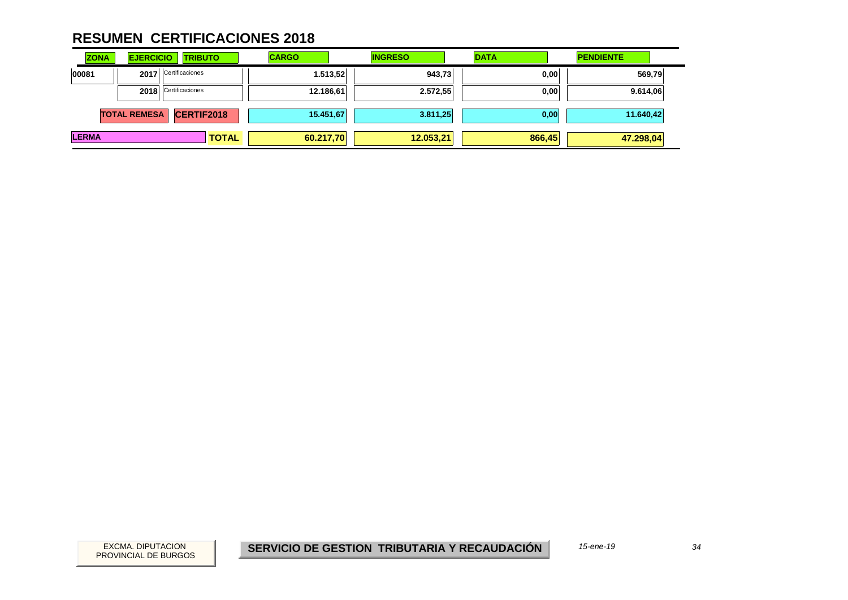| <b>ZONA</b>  | <b>EJERCICIO</b>    | <b>TRIBUTO</b>       |              | <b>CARGO</b> |           | <b>INGRESO</b> | <b>DATA</b> | <b>PENDIENTE</b> |        |
|--------------|---------------------|----------------------|--------------|--------------|-----------|----------------|-------------|------------------|--------|
| 00081        |                     | 2017 Certificaciones |              |              | 1.513,52  | 943,73         | 0,00        |                  | 569,79 |
|              |                     | 2018 Certificaciones |              |              | 12.186,61 | 2.572,55       | 0,00        | 9.614,06         |        |
|              | <b>TOTAL REMESA</b> | CERTIF2018           |              |              | 15.451,67 | 3.811,25       | 0,00        | 11.640,42        |        |
| <b>LERMA</b> |                     |                      | <b>TOTAL</b> |              | 60.217,70 | 12.053,21      | 866,45      | 47.298,04        |        |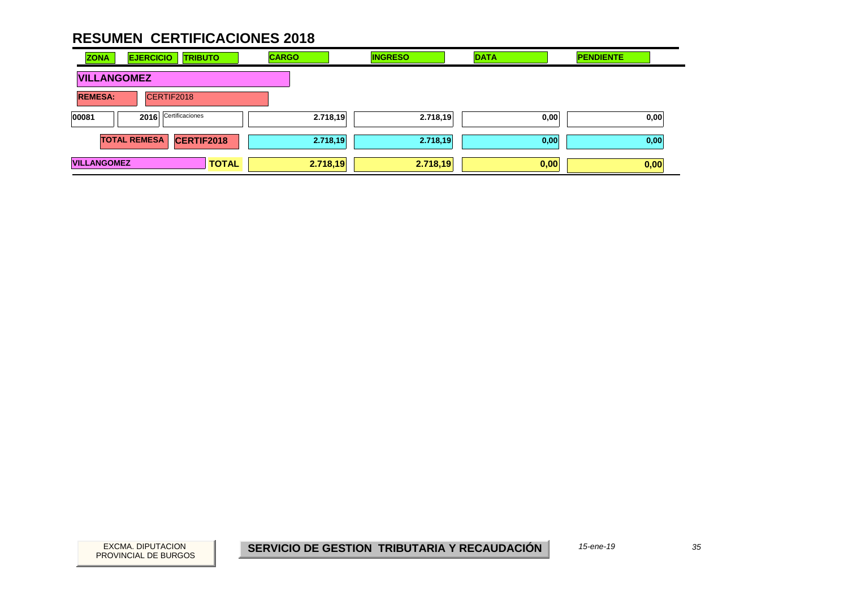| <b>ZONA</b>        | <b>EJERCICIO</b>    | <b>TRIBUTO</b>  | <b>CARGO</b> | <b>INGRESO</b> | <b>DATA</b> | <b>PENDIENTE</b> |
|--------------------|---------------------|-----------------|--------------|----------------|-------------|------------------|
| <b>VILLANGOMEZ</b> |                     |                 |              |                |             |                  |
| <b>REMESA:</b>     | CERTIF2018          |                 |              |                |             |                  |
| 00081              | 2016                | Certificaciones | 2.718,19     | 2.718,19       | 0,00        | 0,00             |
|                    | <b>TOTAL REMESA</b> | CERTIF2018      | 2.718,19     | 2.718,19       | 0,00        | 0,00             |
| <b>VILLANGOMEZ</b> |                     | <b>TOTAL</b>    | 2.718,19     | 2.718,19       | 0,00        | 0,00             |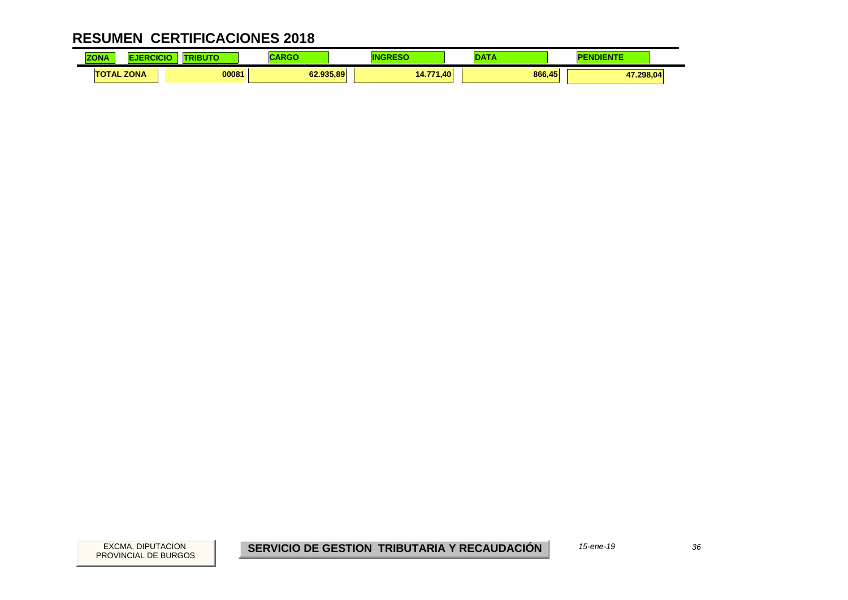| <b>ZONA</b><br><b>LUNA</b> |                   | .     | - - -     |                         | --- | <b>STATISTICS</b><br>. |
|----------------------------|-------------------|-------|-----------|-------------------------|-----|------------------------|
|                            | <b>TOTAL ZONA</b> | 00081 | 62.935.89 | 1. A 77.<br>.40<br>14.7 |     | 866.45<br>17.298,04    |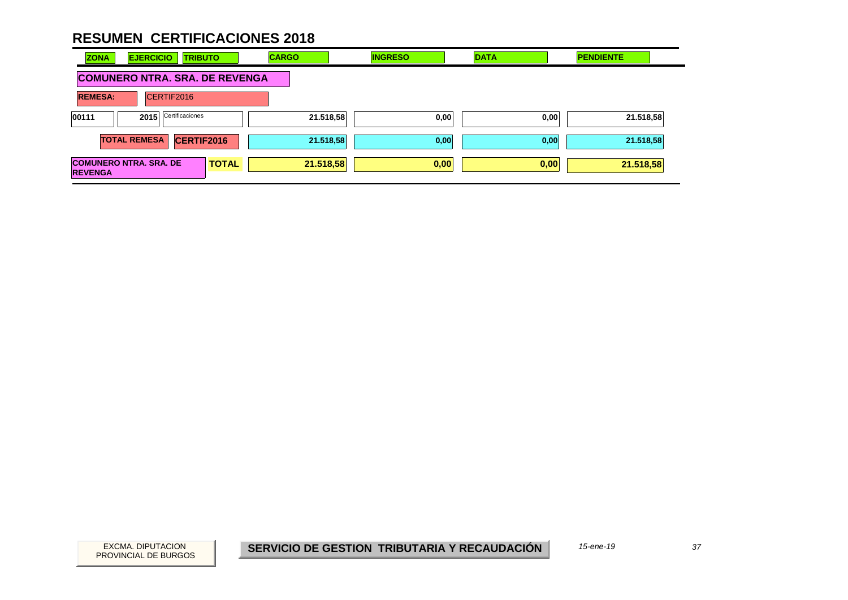| <b>EJERCICIO</b><br><b>ZONA</b><br><b>TRIBUTO</b>               | <b>CARGO</b> | <b>INGRESO</b> | <b>DATA</b> | <b>PENDIENTE</b> |  |  |  |
|-----------------------------------------------------------------|--------------|----------------|-------------|------------------|--|--|--|
| <b>COMUNERO NTRA. SRA. DE REVENGA</b>                           |              |                |             |                  |  |  |  |
| <b>REMESA:</b><br>CERTIF2016                                    |              |                |             |                  |  |  |  |
| 2015 Certificaciones<br>00111                                   | 21.518,58    | 0,00           | 0,00        | 21.518,58        |  |  |  |
| <b>TOTAL REMESA</b><br><b>CERTIF2016</b>                        | 21.518,58    | 0,00           | 0,00        | 21.518,58        |  |  |  |
| <b>COMUNERO NTRA. SRA. DE</b><br><b>TOTAL</b><br><b>REVENGA</b> | 21.518,58    | 0,00           | 0,00        | 21.518,58        |  |  |  |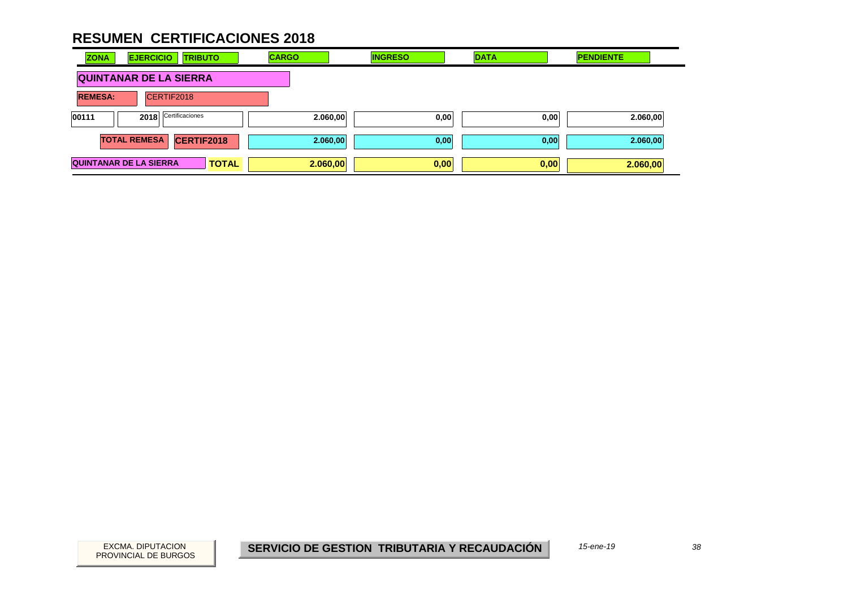| <b>ZONA</b>    | <b>EJERCICIO</b><br><b>TRIBUTO</b>            | <b>CARGO</b> | <b>INGRESO</b> | <b>DATA</b> | <b>PENDIENTE</b> |
|----------------|-----------------------------------------------|--------------|----------------|-------------|------------------|
|                | <b>QUINTANAR DE LA SIERRA</b>                 |              |                |             |                  |
| <b>REMESA:</b> | CERTIF2018                                    |              |                |             |                  |
| 00111          | Certificaciones<br>2018                       | 2.060,00     | 0,00           | 0,00        | 2.060,00         |
|                | <b>CERTIF2018</b><br><b>TOTAL REMESA</b>      | 2.060,00     | 0,00           | 0,00        | 2.060,00         |
|                | <b>QUINTANAR DE LA SIERRA</b><br><b>TOTAL</b> | 2.060,00     | 0,00           | 0,00        | 2.060,00         |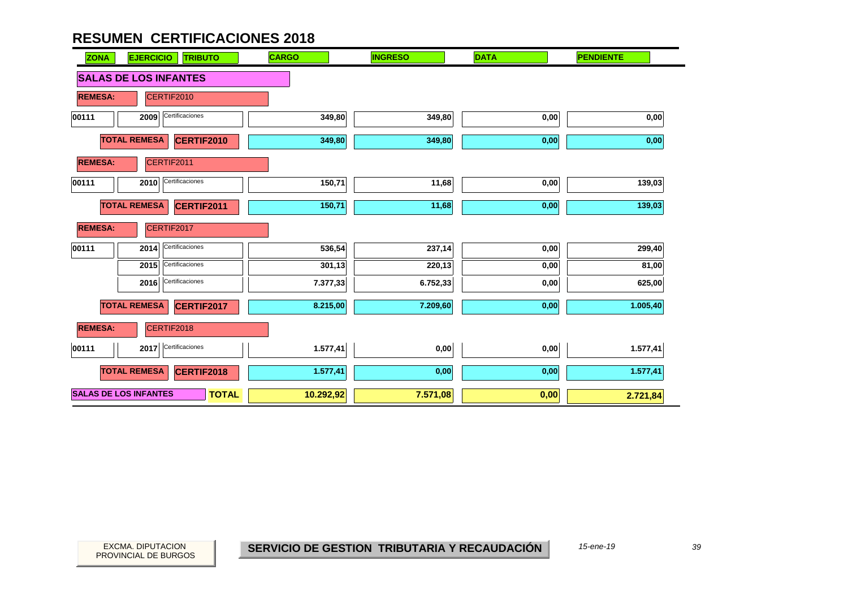| <b>ZONA</b><br><b>EJERCICIO</b><br><b>TRIBUTO</b> | <b>CARGO</b> | <b>INGRESO</b> | <b>DATA</b> | <b>PENDIENTE</b>  |
|---------------------------------------------------|--------------|----------------|-------------|-------------------|
| <b>SALAS DE LOS INFANTES</b>                      |              |                |             |                   |
| CERTIF2010<br><b>REMESA:</b>                      |              |                |             |                   |
| Certificaciones<br>00111<br>2009                  | 349,80       | 349,80         | 0,00        | $\mathbf{0{,}00}$ |
| <b>TOTAL REMESA</b><br><b>CERTIF2010</b>          | 349,80       | 349,80         | 0,00        | 0,00              |
| CERTIF2011<br><b>REMESA:</b>                      |              |                |             |                   |
| Certificaciones<br>00111<br>2010                  | 150,71       | 11,68          | 0,00        | 139,03            |
| <b>TOTAL REMESA</b><br>CERTIF2011                 | 150,71       | 11,68          | 0,00        | 139,03            |
| <b>REMESA:</b><br>CERTIF2017                      |              |                |             |                   |
| Certificaciones<br>00111<br>2014                  | 536,54       | 237,14         | 0,00        | 299,40            |
| Certificaciones<br>2015                           | 301,13       | 220,13         | 0,00        | 81,00             |
| Certificaciones<br>2016                           | 7.377,33     | 6.752,33       | 0,00        | 625,00            |
| <b>TOTAL REMESA</b><br>CERTIF2017                 | 8.215,00     | 7.209,60       | 0,00        | 1.005,40          |
| CERTIF2018<br><b>REMESA:</b>                      |              |                |             |                   |
| 2017<br>Certificaciones<br>00111                  | 1.577,41     | 0,00           | 0,00        | 1.577,41          |
| <b>TOTAL REMESA</b><br><b>CERTIF2018</b>          | 1.577,41     | 0,00           | 0,00        | 1.577,41          |
| <b>SALAS DE LOS INFANTES</b><br><b>TOTAL</b>      | 10.292,92    | 7.571,08       | 0,00        | 2.721,84          |

*15-ene-19*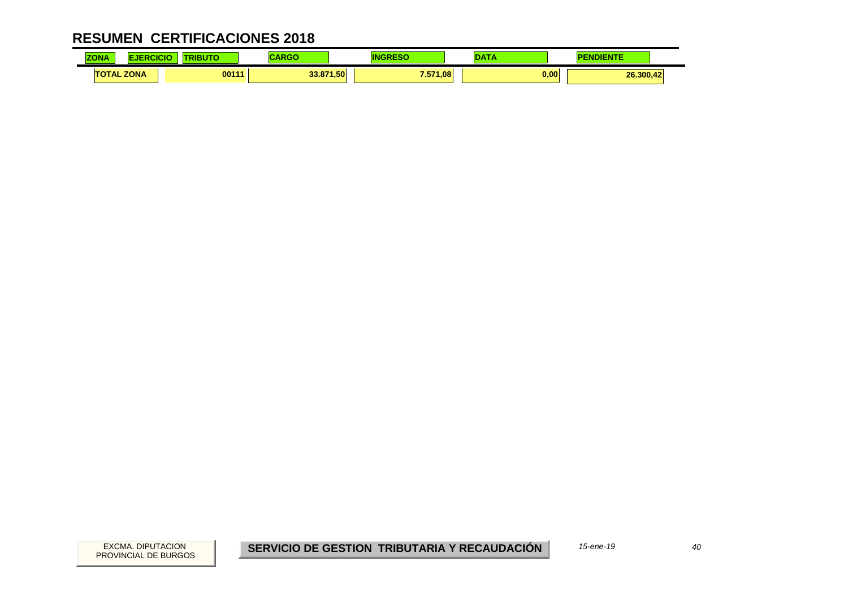| <b>70NA</b><br><b>LUNA</b> |             | <b><i><u>Part Communication</u></i></b> |                |               | .                 |
|----------------------------|-------------|-----------------------------------------|----------------|---------------|-------------------|
| <b>TAL</b>                 | <b>ZONA</b> | 00111                                   | 1.50<br>33.871 | 7.571<br>1.08 | 0,00<br>26.300.42 |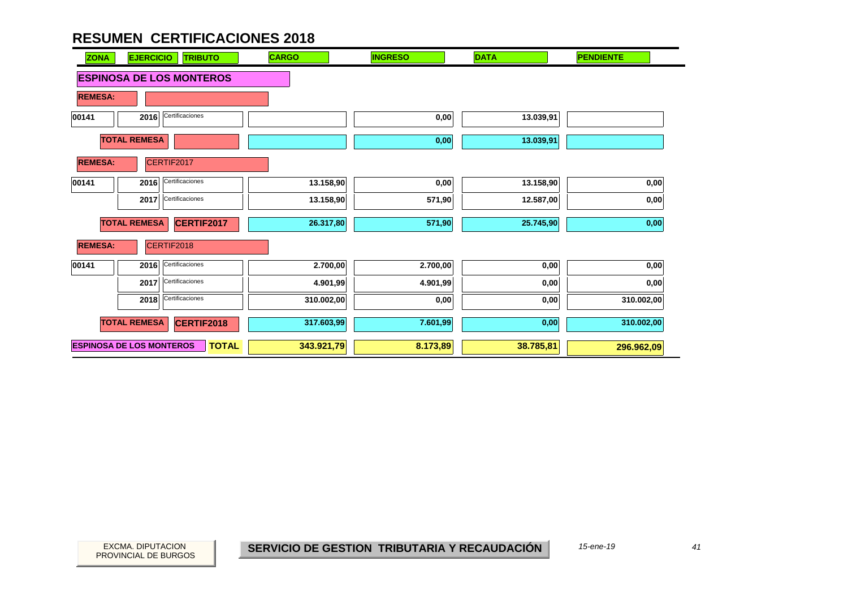| <b>ZONA</b>    | <b>EJERCICIO</b><br><b>TRIBUTO</b>              | <b>CARGO</b> | <b>INGRESO</b> | <b>DATA</b> | <b>PENDIENTE</b> |
|----------------|-------------------------------------------------|--------------|----------------|-------------|------------------|
|                | <b>ESPINOSA DE LOS MONTEROS</b>                 |              |                |             |                  |
| <b>REMESA:</b> |                                                 |              |                |             |                  |
| 00141          | Certificaciones<br>2016                         |              | 0,00           | 13.039,91   |                  |
|                | <b>TOTAL REMESA</b>                             |              | 0,00           | 13.039,91   |                  |
| <b>REMESA:</b> | CERTIF2017                                      |              |                |             |                  |
| 00141          | Certificaciones<br>2016                         | 13.158,90    | 0,00           | 13.158,90   | 0,00             |
|                | 2017 Certificaciones                            | 13.158,90    | 571,90         | 12.587,00   | 0,00             |
|                | <b>TOTAL REMESA</b><br>CERTIF2017               | 26.317,80    | 571,90         | 25.745,90   | 0,00             |
| <b>REMESA:</b> | CERTIF2018                                      |              |                |             |                  |
| 00141          | 2016 Certificaciones                            | 2.700,00     | 2.700,00       | 0,00        | 0,00             |
|                | 2017 Certificaciones                            | 4.901,99     | 4.901,99       | 0,00        | 0,00             |
|                | Certificaciones<br>2018                         | 310.002,00   | 0,00           | 0,00        | 310.002,00       |
|                | <b>TOTAL REMESA</b><br><b>CERTIF2018</b>        | 317.603,99   | 7.601,99       | 0,00        | 310.002,00       |
|                | <b>ESPINOSA DE LOS MONTEROS</b><br><b>TOTAL</b> | 343.921,79   | 8.173,89       | 38.785,81   | 296.962,09       |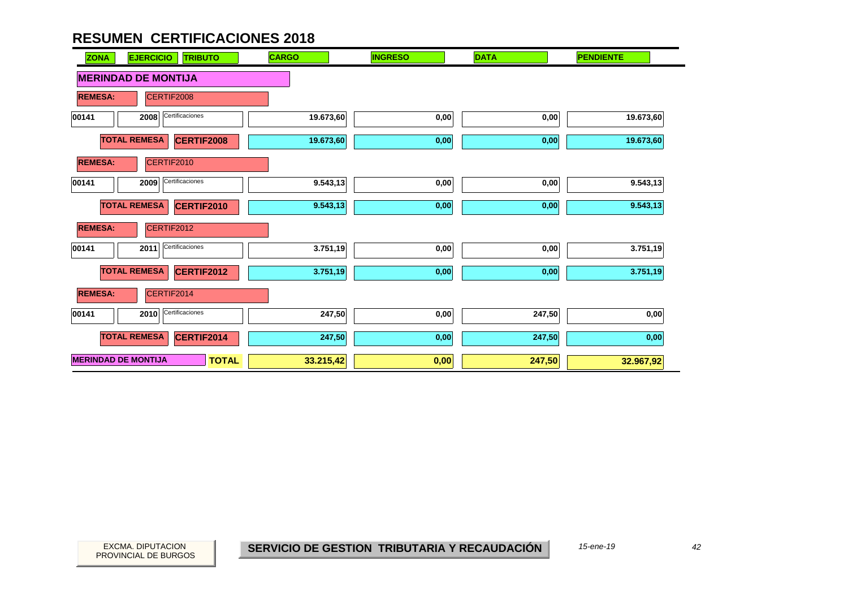| <b>EJERCICIO</b><br><b>ZONA</b> | <b>TRIBUTO</b>  | <b>CARGO</b> | <b>INGRESO</b> | <b>DATA</b> | <b>PENDIENTE</b> |
|---------------------------------|-----------------|--------------|----------------|-------------|------------------|
| <b>MERINDAD DE MONTIJA</b>      |                 |              |                |             |                  |
| <b>REMESA:</b><br>CERTIF2008    |                 |              |                |             |                  |
| 2008<br>00141                   | Certificaciones | 19.673,60    | 0,00           | 0,00        | 19.673,60        |
| <b>TOTAL REMESA</b>             | CERTIF2008      | 19.673,60    | 0,00           | 0,00        | 19.673,60        |
| <b>REMESA:</b><br>CERTIF2010    |                 |              |                |             |                  |
| 2009<br>00141                   | Certificaciones | 9.543,13     | 0,00           | 0,00        | 9.543,13         |
| <b>TOTAL REMESA</b>             | CERTIF2010      | 9.543,13     | 0,00           | 0,00        | 9.543,13         |
| <b>REMESA:</b><br>CERTIF2012    |                 |              |                |             |                  |
| 00141<br>2011                   | Certificaciones | 3.751,19     | 0,00           | 0,00        | 3.751,19         |
| <b>TOTAL REMESA</b>             | CERTIF2012      | 3.751,19     | 0,00           | 0,00        | 3.751,19         |
| <b>REMESA:</b><br>CERTIF2014    |                 |              |                |             |                  |
| 2010<br>00141                   | Certificaciones | 247,50       | 0,00           | 247,50      | 0,00             |
| <b>TOTAL REMESA</b>             | CERTIF2014      | 247,50       | 0,00           | 247,50      | 0,00             |
| <b>MERINDAD DE MONTIJA</b>      | <b>TOTAL</b>    | 33.215,42    | 0,00           | 247,50      | 32.967,92        |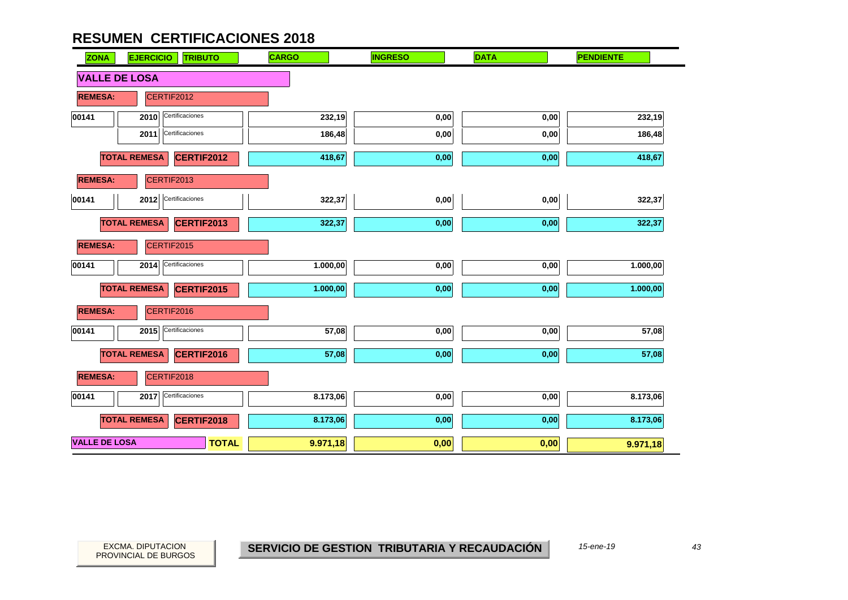| <b>ZONA</b>          | <b>EJERCICIO</b><br><b>TRIBUTO</b> | <b>CARGO</b> | <b>INGRESO</b> | <b>DATA</b> | <b>PENDIENTE</b> |
|----------------------|------------------------------------|--------------|----------------|-------------|------------------|
| <b>VALLE DE LOSA</b> |                                    |              |                |             |                  |
| <b>REMESA:</b>       | CERTIF2012                         |              |                |             |                  |
| 00141                | Certificaciones<br>2010            | 232,19       | 0,00           | 0,00        | 232,19           |
|                      | Certificaciones<br>2011            | 186,48       | 0,00           | 0,00        | 186,48           |
|                      | <b>TOTAL REMESA</b><br>CERTIF2012  | 418,67       | 0,00           | 0,00        | 418,67           |
| <b>REMESA:</b>       | CERTIF2013                         |              |                |             |                  |
| 00141                | 2012 Certificaciones               | 322,37       | 0,00           | 0,00        | 322,37           |
|                      | <b>TOTAL REMESA</b><br>CERTIF2013  | 322,37       | 0,00           | 0,00        | 322,37           |
| <b>REMESA:</b>       | CERTIF2015                         |              |                |             |                  |
| 00141                | Certificaciones<br>2014            | 1.000,00     | 0,00           | 0,00        | 1.000,00         |
|                      | <b>TOTAL REMESA</b><br>CERTIF2015  | 1.000,00     | 0,00           | 0,00        | 1.000,00         |
| <b>REMESA:</b>       | CERTIF2016                         |              |                |             |                  |
| 00141                | Certificaciones<br>2015            | 57,08        | 0,00           | 0,00        | 57,08            |
|                      | <b>TOTAL REMESA</b><br>CERTIF2016  | 57,08        | 0,00           | 0,00        | 57,08            |
| <b>REMESA:</b>       | CERTIF2018                         |              |                |             |                  |
| 00141                | Certificaciones<br>2017            | 8.173,06     | 0,00           | $0,\!00$    | 8.173,06         |
|                      | <b>TOTAL REMESA</b><br>CERTIF2018  | 8.173,06     | 0,00           | 0,00        | 8.173,06         |
| <b>VALLE DE LOSA</b> | <b>TOTAL</b>                       | 9.971,18     | 0,00           | 0,00        | 9.971,18         |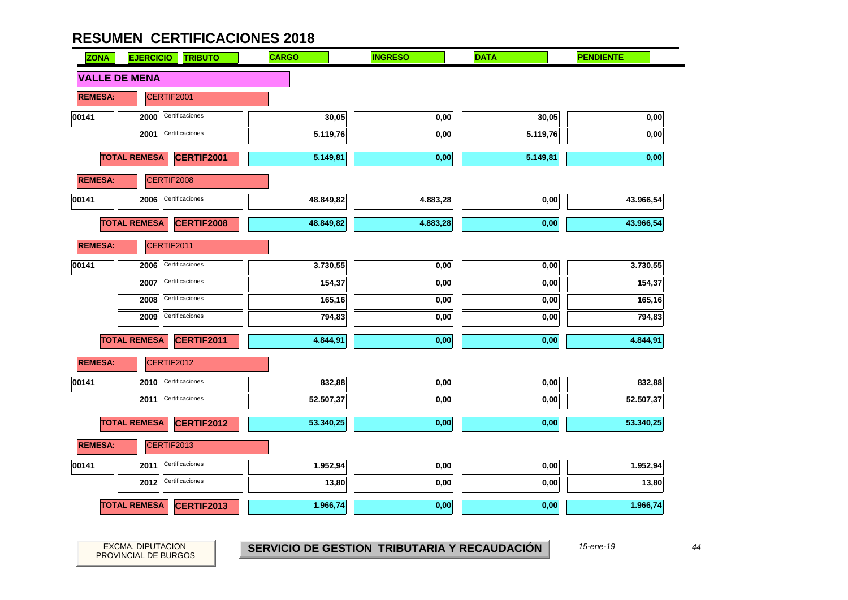| <b>ZONA</b>    | <b>EJERCICIO</b><br><b>TRIBUTO</b>       | <b>CARGO</b> | <b>INGRESO</b> | <b>DATA</b> | <b>PENDIENTE</b> |
|----------------|------------------------------------------|--------------|----------------|-------------|------------------|
|                | <b>VALLE DE MENA</b>                     |              |                |             |                  |
| <b>REMESA:</b> | CERTIF2001                               |              |                |             |                  |
| 00141          | Certificaciones<br>2000                  | 30,05        | 0,00           | 30,05       | 0,00             |
|                | Certificaciones<br>2001                  | 5.119,76     | 0,00           | 5.119,76    | 0,00             |
|                | <b>TOTAL REMESA</b><br><b>CERTIF2001</b> | 5.149,81     | 0,00           | 5.149,81    | 0,00             |
| <b>REMESA:</b> | CERTIF2008                               |              |                |             |                  |
| 00141          | Certificaciones<br>2006                  | 48.849,82    | 4.883,28       | 0,00        | 43.966,54        |
|                | <b>TOTAL REMESA</b><br><b>CERTIF2008</b> | 48.849,82    | 4.883,28       | 0,00        | 43.966,54        |
| <b>REMESA:</b> | CERTIF2011                               |              |                |             |                  |
| 00141          | Certificaciones<br>2006                  | 3.730,55     | 0,00           | 0,00        | 3.730,55         |
|                | Certificaciones<br>2007                  | 154,37       | 0,00           | 0,00        | 154,37           |
|                | Certificaciones<br>2008                  | 165,16       | 0,00           | 0,00        | 165,16           |
|                | Certificaciones<br>2009                  | 794,83       | 0,00           | 0,00        | 794,83           |
|                | <b>TOTAL REMESA</b><br>CERTIF2011        | 4.844,91     | 0,00           | 0,00        | 4.844,91         |
| <b>REMESA:</b> | CERTIF2012                               |              |                |             |                  |
| 00141          | Certificaciones<br>2010                  | 832,88       | 0,00           | 0,00        | 832,88           |
|                | Certificaciones<br>2011                  | 52.507,37    | 0,00           | 0,00        | 52.507,37        |
|                | <b>TOTAL REMESA</b><br><b>CERTIF2012</b> | 53.340,25    | 0,00           | 0,00        | 53.340,25        |
| <b>REMESA:</b> | CERTIF2013                               |              |                |             |                  |
| 00141          | Certificaciones<br>2011                  | 1.952,94     | 0,00           | 0,00        | 1.952,94         |
|                | Certificaciones<br>2012                  | 13,80        | 0,00           | 0,00        | 13,80            |
|                | <b>TOTAL REMESA</b><br><b>CERTIF2013</b> | 1.966,74     | 0,00           | 0,00        | 1.966,74         |

PROVINCIAL DE BURGOS

EXCMA. DIPUTACION *44***SERVICIO DE GESTION TRIBUTARIA Y RECAUDACIÓN**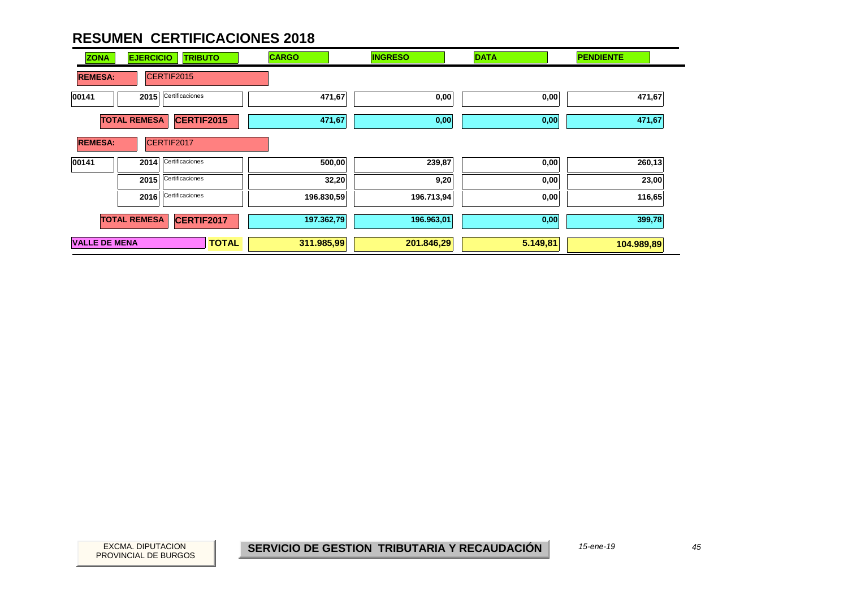| <b>ZONA</b>          | <b>EJERCICIO</b><br><b>TRIBUTO</b> | <b>CARGO</b>               | <b>INGRESO</b> | <b>DATA</b> | <b>PENDIENTE</b> |
|----------------------|------------------------------------|----------------------------|----------------|-------------|------------------|
| <b>REMESA:</b>       | CERTIF2015                         |                            |                |             |                  |
| 00141                | Certificaciones<br>2015            | 471,67                     | 0,00           | 0,00        | 471,67           |
|                      | <b>TOTAL REMESA</b><br>CERTIF2015  | 471,67                     | 0,00           | 0,00        | 471,67           |
| <b>REMESA:</b>       | CERTIF2017                         |                            |                |             |                  |
| 00141                | Certificaciones<br>2014            | 500,00                     | 239,87         | 0,00        | 260,13           |
|                      | Certificaciones<br>2015            |                            | 32,20<br>9,20  | 0,00        | 23,00            |
|                      | Certificaciones<br>2016            | 196.830,59                 | 196.713,94     | 0,00        | 116,65           |
|                      | <b>TOTAL REMESA</b><br>CERTIF2017  | 197.362,79                 | 196.963,01     | 0,00        | 399,78           |
| <b>VALLE DE MENA</b> |                                    | <b>TOTAL</b><br>311.985,99 | 201.846,29     | 5.149,81    | 104.989,89       |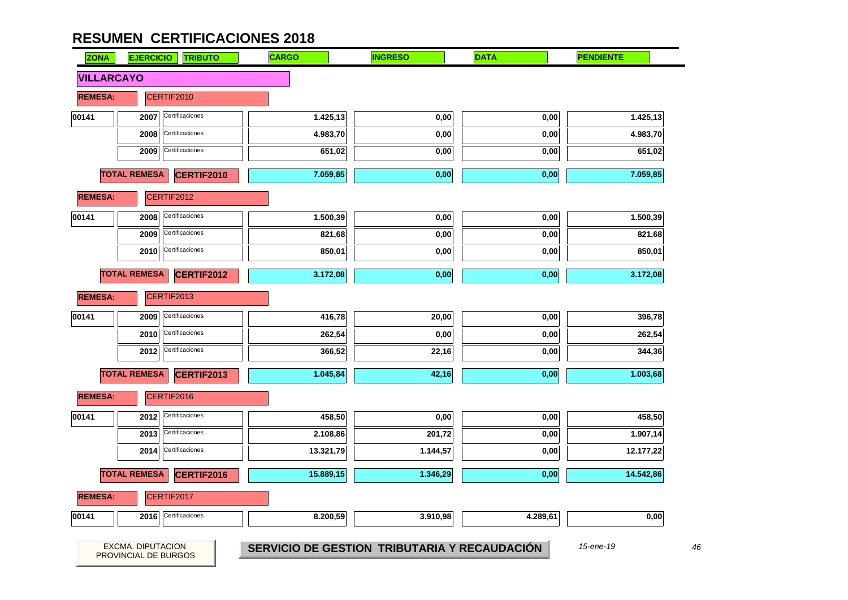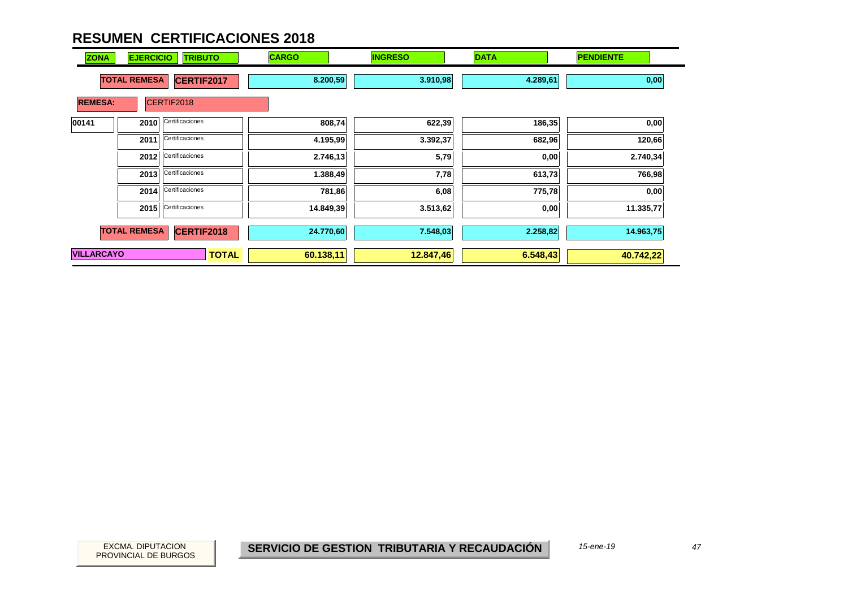| <b>ZONA</b>       | <b>EJERCICIO</b><br><b>TRIBUTO</b> |                 | <b>CARGO</b> | <b>INGRESO</b> | <b>DATA</b> | <b>PENDIENTE</b> |
|-------------------|------------------------------------|-----------------|--------------|----------------|-------------|------------------|
|                   | <b>TOTAL REMESA</b>                | CERTIF2017      | 8.200,59     | 3.910,98       | 4.289,61    | 0,00             |
| <b>REMESA:</b>    |                                    | CERTIF2018      |              |                |             |                  |
| 00141             | 2010                               | Certificaciones | 808,74       | 622,39         | 186,35      | 0,00             |
|                   | 2011                               | Certificaciones | 4.195,99     | 3.392,37       | 682,96      | 120,66           |
|                   | 2012                               | Certificaciones | 2.746, 13    | 5,79           | 0,00        | 2.740,34         |
|                   | 2013                               | Certificaciones | 1.388,49     | 7,78           | 613,73      | 766,98           |
|                   | 2014                               | Certificaciones | 781,86       | 6,08           | 775,78      | 0,00             |
|                   | 2015                               | Certificaciones | 14.849,39    | 3.513,62       | 0,00        | 11.335,77        |
|                   | <b>TOTAL REMESA</b>                | CERTIF2018      | 24.770,60    | 7.548,03       | 2.258,82    | 14.963,75        |
| <b>VILLARCAYO</b> |                                    | <b>TOTAL</b>    | 60.138,11    | 12.847,46      | 6.548,43    | 40.742,22        |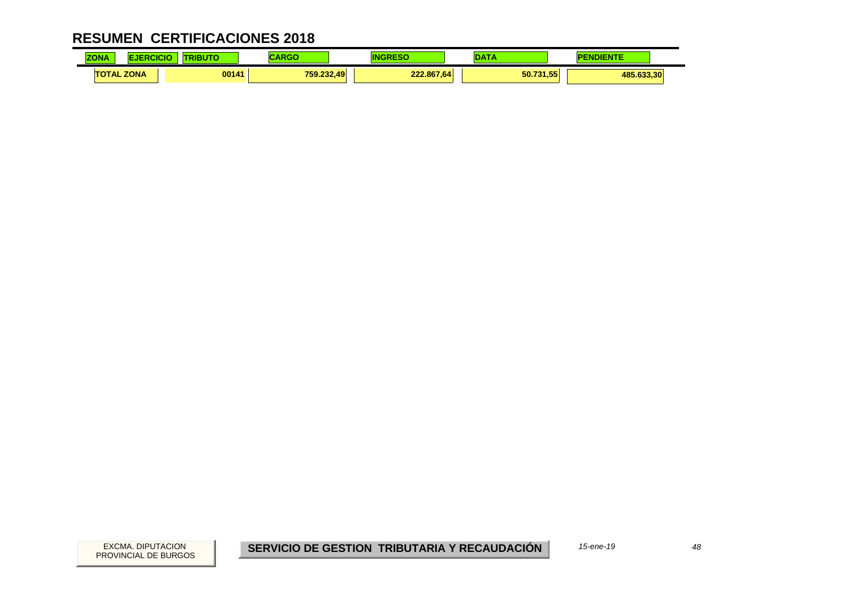| <b>ZONA</b><br><b>LUNA</b> |             | <b>The Company of Company</b> |            |                     |           |            |
|----------------------------|-------------|-------------------------------|------------|---------------------|-----------|------------|
| <b>TAL</b>                 | <b>ZONA</b> | 00141                         | 759.232,49 | 222.867.64<br>$\mu$ | 50.731,55 | 485.633.30 |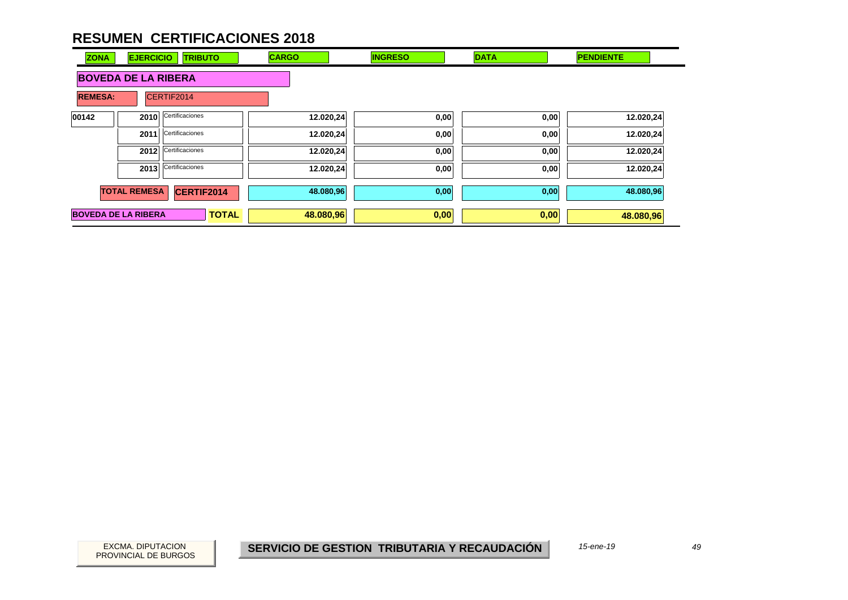| <b>ZONA</b>                | <b>EJERCICIO</b>    | <b>TRIBUTO</b>  | <b>CARGO</b> | <b>INGRESO</b> | <b>DATA</b> | <b>PENDIENTE</b> |  |  |
|----------------------------|---------------------|-----------------|--------------|----------------|-------------|------------------|--|--|
| <b>BOVEDA DE LA RIBERA</b> |                     |                 |              |                |             |                  |  |  |
| <b>REMESA:</b>             |                     | CERTIF2014      |              |                |             |                  |  |  |
| 00142                      | 2010                | Certificaciones | 12.020,24    | 0,00           | 0,00        | 12.020,24        |  |  |
|                            | 2011                | Certificaciones | 12.020,24    | 0,00           | 0,00        | 12.020,24        |  |  |
|                            | 2012                | Certificaciones | 12.020,24    | 0,00           | 0,00        | 12.020,24        |  |  |
|                            | 2013                | Certificaciones | 12.020,24    | 0,00           | 0,00        | 12.020,24        |  |  |
|                            | <b>TOTAL REMESA</b> | CERTIF2014      | 48.080,96    | 0,00           | 0,00        | 48.080,96        |  |  |
| <b>BOVEDA DE LA RIBERA</b> |                     | <b>TOTAL</b>    | 48.080,96    | 0,00           | 0,00        | 48.080,96        |  |  |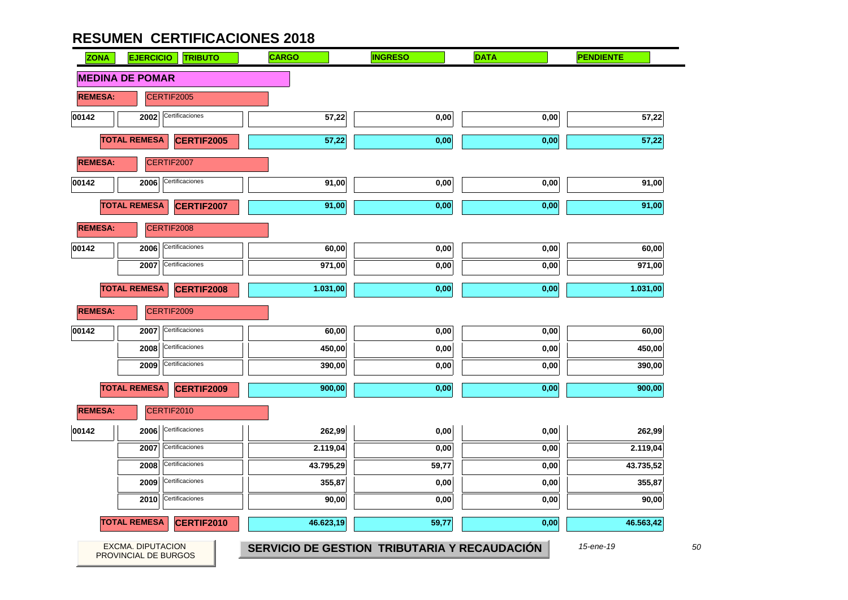u

| <b>ZONA</b>    | <b>EJERCICIO</b>                          | <b>TRIBUTO</b>    | <b>CARGO</b> | <b>INGRESO</b>                               | <b>DATA</b> | <b>PENDIENTE</b> |
|----------------|-------------------------------------------|-------------------|--------------|----------------------------------------------|-------------|------------------|
|                | <b>MEDINA DE POMAR</b>                    |                   |              |                                              |             |                  |
| <b>REMESA:</b> |                                           | CERTIF2005        |              |                                              |             |                  |
| 00142          | 2002                                      | Certificaciones   | 57,22        | 0,00                                         | 0,00        | 57,22            |
|                | <b>TOTAL REMESA</b>                       | <b>CERTIF2005</b> | 57,22        | 0,00                                         | 0,00        | 57,22            |
| <b>REMESA:</b> |                                           | CERTIF2007        |              |                                              |             |                  |
| 00142          | 2006                                      | Certificaciones   | 91,00        | 0,00                                         | 0,00        | 91,00            |
|                | <b>TOTAL REMESA</b>                       | <b>CERTIF2007</b> | 91,00        | 0,00                                         | 0,00        | 91,00            |
| <b>REMESA:</b> |                                           | CERTIF2008        |              |                                              |             |                  |
| 00142          | 2006                                      | Certificaciones   | 60,00        | 0,00                                         | 0,00        | 60,00            |
|                | 2007                                      | Certificaciones   | 971,00       | 0,00                                         | 0,00        | 971,00           |
|                | <b>TOTAL REMESA</b>                       | <b>CERTIF2008</b> | 1.031,00     | 0,00                                         | 0,00        | 1.031,00         |
| <b>REMESA:</b> |                                           | CERTIF2009        |              |                                              |             |                  |
| 00142          | 2007                                      | Certificaciones   | 60,00        | 0,00                                         | 0,00        | 60,00            |
|                | 2008                                      | Certificaciones   | 450,00       | $0,\!00$                                     | $0,\!00$    | 450,00           |
|                | 2009                                      | Certificaciones   | 390,00       | 0,00                                         | 0,00        | 390,00           |
|                | <b>TOTAL REMESA</b>                       | CERTIF2009        | 900,00       | 0,00                                         | 0,00        | 900,00           |
| <b>REMESA:</b> |                                           | CERTIF2010        |              |                                              |             |                  |
| 00142          | 2006                                      | Certificaciones   | 262,99       | 0,00                                         | 0,00        | 262,99           |
|                | 2007                                      | Certificaciones   | 2.119,04     | 0,00                                         | 0,00        | 2.119,04         |
|                | 2008                                      | Certificaciones   | 43.795,29    | 59,77                                        | 0,00        | 43.735,52        |
|                | 2009                                      | Certificaciones   | 355,87       | 0,00                                         | 0,00        | 355,87           |
|                | 2010                                      | Certificaciones   | 90,00        | 0,00                                         | 0,00        | 90,00            |
|                | <b>TOTAL REMESA</b>                       | CERTIF2010        | 46.623,19    | 59,77                                        | 0,00        | 46.563,42        |
|                | EXCMA. DIPUTACION<br>PROVINCIAL DE BURGOS |                   |              | SERVICIO DE GESTION TRIBUTARIA Y RECAUDACIÓN |             | 15-ene-19        |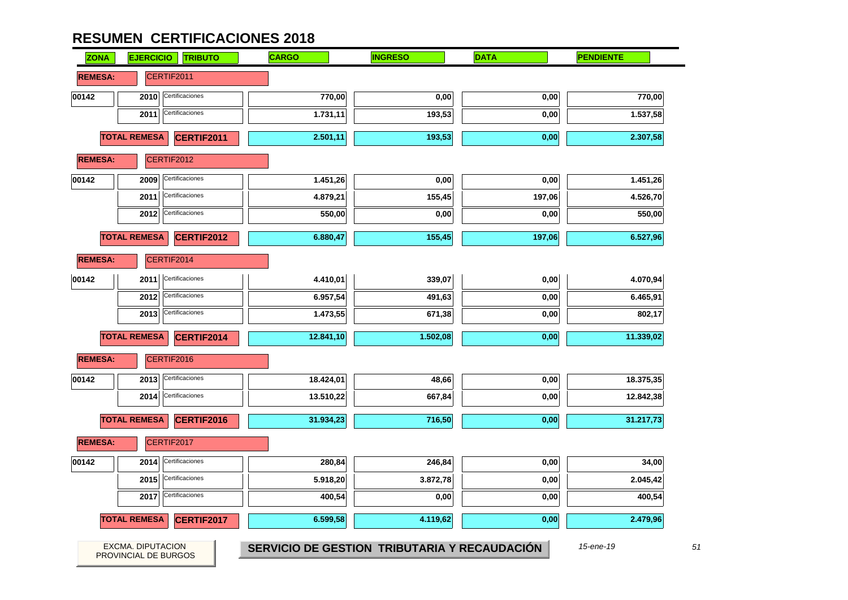| <b>ZONA</b>    | <b>EJERCICIO</b>                                 | <b>TRIBUTO</b>    | <b>CARGO</b> | <b>INGRESO</b>                               | <b>DATA</b> | <b>PENDIENTE</b> |
|----------------|--------------------------------------------------|-------------------|--------------|----------------------------------------------|-------------|------------------|
| <b>REMESA:</b> | CERTIF2011                                       |                   |              |                                              |             |                  |
| 00142          | 2010                                             | Certificaciones   | 770,00       | $_{0,00}$                                    | 0,00        | 770,00           |
|                | 2011                                             | Certificaciones   | 1.731,11     | 193,53                                       | 0,00        | 1.537,58         |
|                | <b>TOTAL REMESA</b>                              | CERTIF2011        | 2.501,11     | 193,53                                       | 0,00        | 2.307,58         |
| <b>REMESA:</b> | CERTIF2012                                       |                   |              |                                              |             |                  |
| 00142          | 2009                                             | Certificaciones   | 1.451,26     | 0,00                                         | 0,00        | 1.451,26         |
|                | 2011                                             | Certificaciones   | 4.879,21     | 155,45                                       | 197,06      | 4.526,70         |
|                | 2012                                             | Certificaciones   | 550,00       | 0,00                                         | 0,00        | 550,00           |
|                | <b>TOTAL REMESA</b>                              | <b>CERTIF2012</b> | 6.880,47     | 155,45                                       | 197,06      | 6.527,96         |
| <b>REMESA:</b> | CERTIF2014                                       |                   |              |                                              |             |                  |
| 00142          | 2011                                             | Certificaciones   | 4.410,01     | 339,07                                       | 0,00        | 4.070,94         |
|                | 2012                                             | Certificaciones   | 6.957,54     | 491,63                                       | 0,00        | 6.465,91         |
|                | 2013                                             | Certificaciones   | 1.473,55     | 671,38                                       | 0,00        | 802,17           |
|                | <b>TOTAL REMESA</b>                              | <b>CERTIF2014</b> | 12.841,10    | 1.502,08                                     | 0,00        | 11.339,02        |
| <b>REMESA:</b> | CERTIF2016                                       |                   |              |                                              |             |                  |
| 00142          | 2013                                             | Certificaciones   | 18.424,01    | 48,66                                        | 0,00        | 18.375,35        |
|                | 2014                                             | Certificaciones   | 13.510,22    | 667,84                                       | 0,00        | 12.842,38        |
|                | <b>TOTAL REMESA</b>                              | CERTIF2016        | 31.934,23    | 716,50                                       | 0,00        | 31.217,73        |
| <b>REMESA:</b> | CERTIF2017                                       |                   |              |                                              |             |                  |
| 00142          | 2014                                             | Certificaciones   | 280,84       | 246,84                                       | 0,00        | 34,00            |
|                | 2015                                             | Certificaciones   | 5.918,20     | 3.872,78                                     | 0,00        | 2.045,42         |
|                | 2017                                             | Certificaciones   | 400,54       | 0,00                                         | 0,00        | 400,54           |
|                | <b>TOTAL REMESA</b>                              | CERTIF2017        | 6.599,58     | 4.119,62                                     | 0,00        | 2.479,96         |
|                | <b>EXCMA. DIPUTACION</b><br>PROVINCIAL DE BURGOS |                   |              | SERVICIO DE GESTION TRIBUTARIA Y RECAUDACIÓN |             | 15-ene-19        |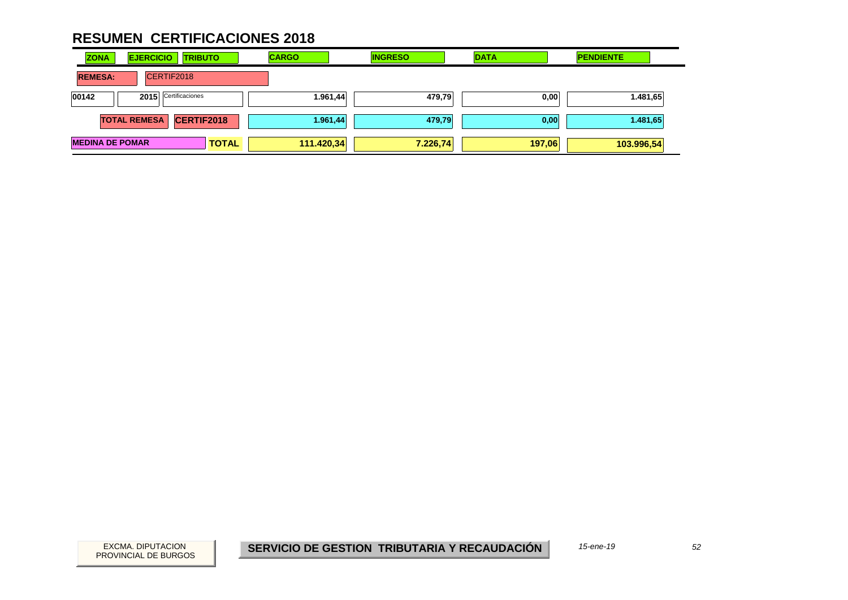| <b>ZONA</b>            | <b>EJERCICIO</b>    | <b>TRIBUTO</b>    |              | <b>CARGO</b> | <b>INGRESO</b> | <b>DATA</b> | <b>PENDIENTE</b> |
|------------------------|---------------------|-------------------|--------------|--------------|----------------|-------------|------------------|
| <b>REMESA:</b>         |                     | CERTIF2018        |              |              |                |             |                  |
| 00142                  | 2015                | Certificaciones   |              | 1.961,44     | 479,79         | 0,00        | 1.481,65         |
|                        | <b>TOTAL REMESA</b> | <b>CERTIF2018</b> |              | 1.961,44     | 479,79         | 0,00        | 1.481,65         |
| <b>MEDINA DE POMAR</b> |                     |                   | <b>TOTAL</b> | 111.420,34   | 7.226,74       | 197,06      | 103.996,54       |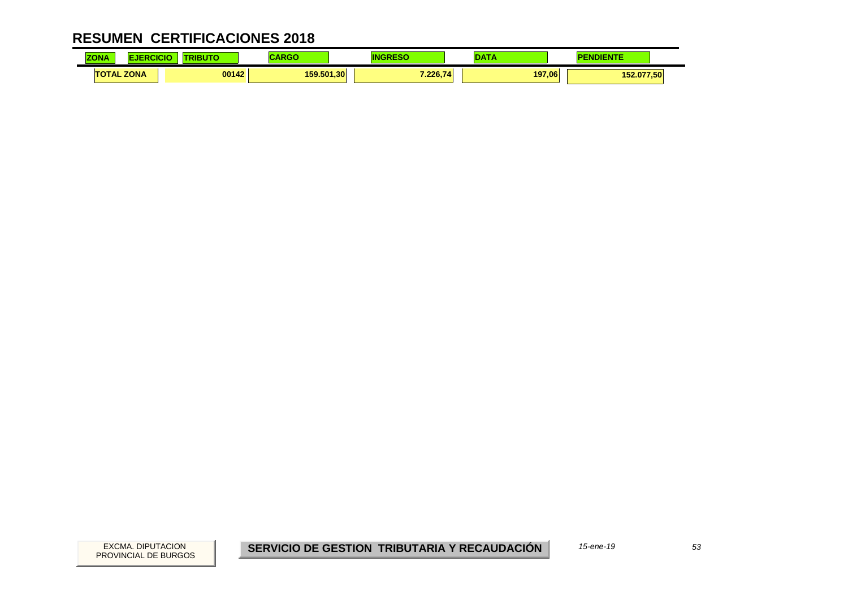| 70M<br>$-$   |             | BUTC<br>TRI | .          |          | $\sim$ | <b>A 1999 F</b> |
|--------------|-------------|-------------|------------|----------|--------|-----------------|
| <b>TOTAL</b> | <b>ZONA</b> | 00142       | 159.501.30 | 7.226.74 | 197,06 | 152.077,50      |